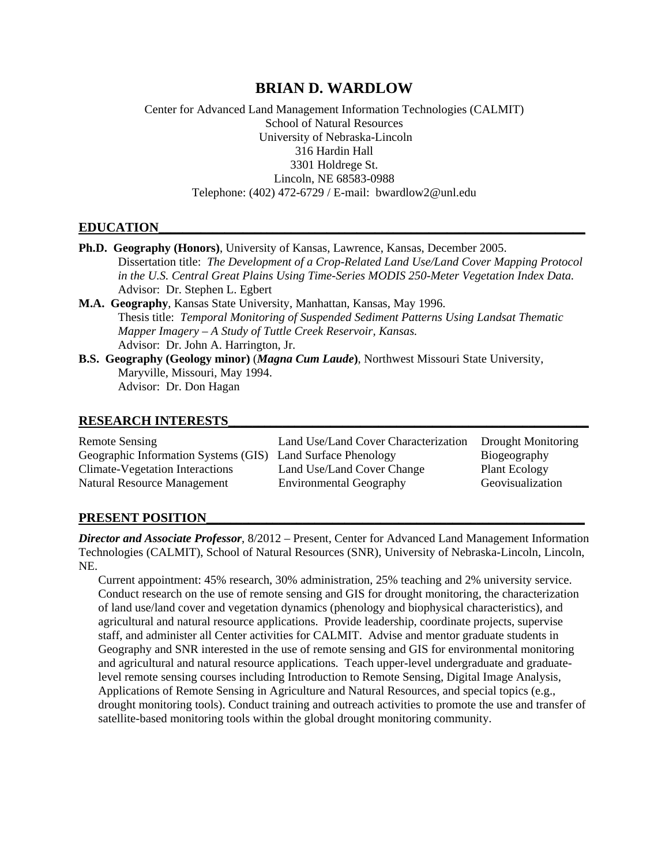# **BRIAN D. WARDLOW**

Center for Advanced Land Management Information Technologies (CALMIT) School of Natural Resources University of Nebraska-Lincoln 316 Hardin Hall 3301 Holdrege St. Lincoln, NE 68583-0988 Telephone: (402) 472-6729 / E-mail: bwardlow2@unl.edu

# **EDUCATION\_\_\_\_\_\_\_\_\_\_\_\_\_\_\_\_\_\_\_\_\_\_\_\_\_\_\_\_\_\_\_\_\_\_\_\_\_\_\_\_\_\_\_\_\_\_\_\_\_\_\_\_\_\_\_\_\_\_\_\_\_\_\_\_\_\_\_\_\_\_\_**

| <b>Ph.D. Geography (Honors)</b> , University of Kansas, Lawrence, Kansas, December 2005.      |
|-----------------------------------------------------------------------------------------------|
| Dissertation title: The Development of a Crop-Related Land Use/Land Cover Mapping Protocol    |
| in the U.S. Central Great Plains Using Time-Series MODIS 250-Meter Vegetation Index Data.     |
| Advisor: Dr. Stephen L. Egbert                                                                |
| M.A. Geography, Kansas State University, Manhattan, Kansas, May 1996.                         |
| Thesis title: Temporal Monitoring of Suspended Sediment Patterns Using Landsat Thematic       |
| Mapper Imagery $-A$ Study of Tuttle Creek Reservoir, Kansas.                                  |
| Advisor: Dr. John A. Harrington, Jr.                                                          |
| <b>B.S. Geography (Geology minor) (Magna Cum Laude), Northwest Missouri State University,</b> |
| Maryville, Missouri, May 1994.                                                                |
| Advisor: Dr. Don Hagan                                                                        |

#### **RESEARCH INTERESTS\_\_\_\_\_\_\_\_\_\_\_\_\_\_\_\_\_\_\_\_\_\_\_\_\_\_\_\_\_\_\_\_\_\_\_\_\_\_\_\_\_\_\_\_\_\_\_\_\_\_\_\_\_\_\_\_\_\_\_\_**

| Remote Sensing<br>Geographic Information Systems (GIS) | Land Use/Land Cover Characterization<br>Land Surface Phenology | Drought Monitoring<br>Biogeography |
|--------------------------------------------------------|----------------------------------------------------------------|------------------------------------|
| <b>Climate-Vegetation Interactions</b>                 | Land Use/Land Cover Change                                     | <b>Plant Ecology</b>               |
| Natural Resource Management                            | <b>Environmental Geography</b>                                 | Geovisualization                   |

## PRESENT POSITION

*Director and Associate Professor*, 8/2012 – Present, Center for Advanced Land Management Information Technologies (CALMIT), School of Natural Resources (SNR), University of Nebraska-Lincoln, Lincoln, NE.

Current appointment: 45% research, 30% administration, 25% teaching and 2% university service. Conduct research on the use of remote sensing and GIS for drought monitoring, the characterization of land use/land cover and vegetation dynamics (phenology and biophysical characteristics), and agricultural and natural resource applications. Provide leadership, coordinate projects, supervise staff, and administer all Center activities for CALMIT. Advise and mentor graduate students in Geography and SNR interested in the use of remote sensing and GIS for environmental monitoring and agricultural and natural resource applications. Teach upper-level undergraduate and graduatelevel remote sensing courses including Introduction to Remote Sensing, Digital Image Analysis, Applications of Remote Sensing in Agriculture and Natural Resources, and special topics (e.g., drought monitoring tools). Conduct training and outreach activities to promote the use and transfer of satellite-based monitoring tools within the global drought monitoring community.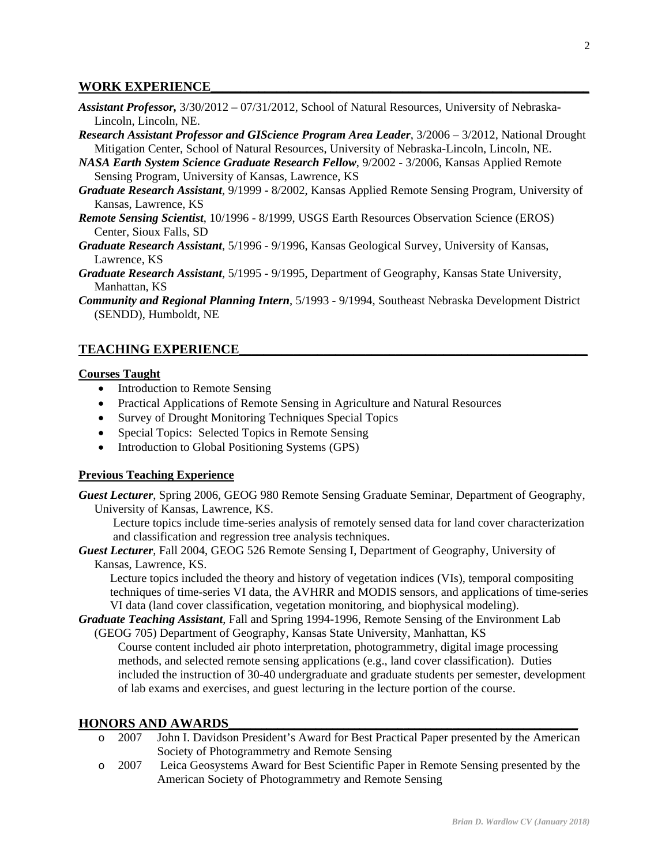### WORK EXPERIENCE

- *Assistant Professor,* 3/30/2012 07/31/2012, School of Natural Resources, University of Nebraska-Lincoln, Lincoln, NE.
- *Research Assistant Professor and GIScience Program Area Leader*, 3/2006 3/2012, National Drought Mitigation Center, School of Natural Resources, University of Nebraska-Lincoln, Lincoln, NE.
- *NASA Earth System Science Graduate Research Fellow*, 9/2002 3/2006, Kansas Applied Remote Sensing Program, University of Kansas, Lawrence, KS
- *Graduate Research Assistant*, 9/1999 8/2002, Kansas Applied Remote Sensing Program, University of Kansas, Lawrence, KS
- *Remote Sensing Scientist*, 10/1996 8/1999, USGS Earth Resources Observation Science (EROS) Center, Sioux Falls, SD
- *Graduate Research Assistant*, 5/1996 9/1996, Kansas Geological Survey, University of Kansas, Lawrence, KS
- *Graduate Research Assistant*, 5/1995 9/1995, Department of Geography, Kansas State University, Manhattan, KS
- *Community and Regional Planning Intern*, 5/1993 9/1994, Southeast Nebraska Development District (SENDD), Humboldt, NE

## **TEACHING EXPERIENCE**

## **Courses Taught**

- Introduction to Remote Sensing
- Practical Applications of Remote Sensing in Agriculture and Natural Resources
- Survey of Drought Monitoring Techniques Special Topics
- Special Topics: Selected Topics in Remote Sensing
- Introduction to Global Positioning Systems (GPS)

# **Previous Teaching Experience**

*Guest Lecturer*, Spring 2006, GEOG 980 Remote Sensing Graduate Seminar, Department of Geography, University of Kansas, Lawrence, KS.

 Lecture topics include time-series analysis of remotely sensed data for land cover characterization and classification and regression tree analysis techniques.

*Guest Lecturer*, Fall 2004, GEOG 526 Remote Sensing I, Department of Geography, University of Kansas, Lawrence, KS.

Lecture topics included the theory and history of vegetation indices (VIs), temporal compositing techniques of time-series VI data, the AVHRR and MODIS sensors, and applications of time-series VI data (land cover classification, vegetation monitoring, and biophysical modeling).

*Graduate Teaching Assistant*, Fall and Spring 1994-1996, Remote Sensing of the Environment Lab (GEOG 705) Department of Geography, Kansas State University, Manhattan, KS

Course content included air photo interpretation, photogrammetry, digital image processing methods, and selected remote sensing applications (e.g., land cover classification). Duties included the instruction of 30-40 undergraduate and graduate students per semester, development of lab exams and exercises, and guest lecturing in the lecture portion of the course.

## **HONORS AND AWARDS**

- o 2007 John I. Davidson President's Award for Best Practical Paper presented by the American Society of Photogrammetry and Remote Sensing
- o 2007 Leica Geosystems Award for Best Scientific Paper in Remote Sensing presented by the American Society of Photogrammetry and Remote Sensing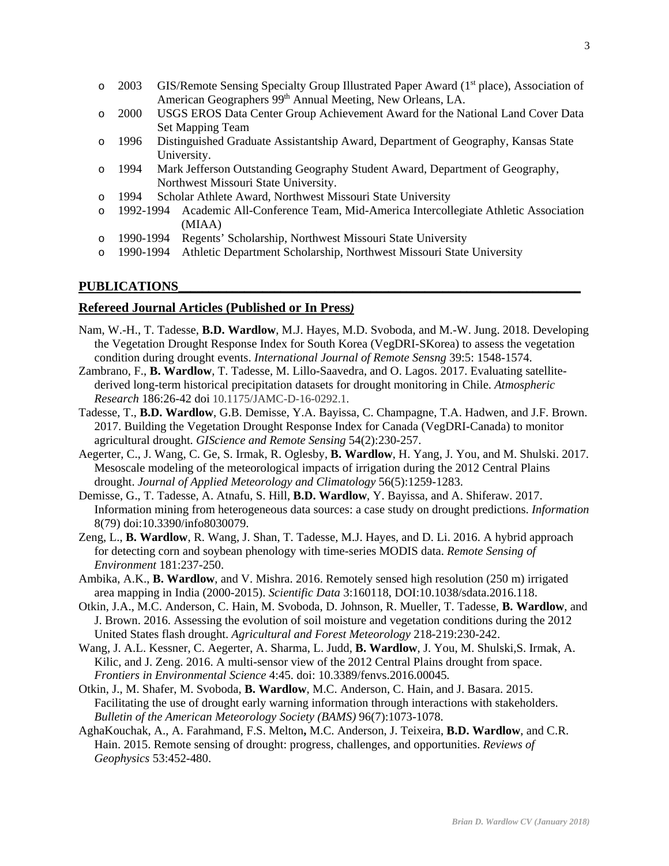- o 2003 GIS/Remote Sensing Specialty Group Illustrated Paper Award (1<sup>st</sup> place), Association of American Geographers 99<sup>th</sup> Annual Meeting, New Orleans, LA.
- o 2000 USGS EROS Data Center Group Achievement Award for the National Land Cover Data Set Mapping Team
- o 1996 Distinguished Graduate Assistantship Award, Department of Geography, Kansas State University.
- o 1994 Mark Jefferson Outstanding Geography Student Award, Department of Geography, Northwest Missouri State University.
- o 1994 Scholar Athlete Award, Northwest Missouri State University
- o 1992-1994 Academic All-Conference Team, Mid-America Intercollegiate Athletic Association (MIAA)
- o 1990-1994 Regents' Scholarship, Northwest Missouri State University
- o 1990-1994 Athletic Department Scholarship, Northwest Missouri State University

#### **PUBLICATIONS\_\_\_\_\_\_\_\_\_\_\_\_\_\_\_\_\_\_\_\_\_\_\_\_\_\_\_\_\_\_\_\_\_\_\_\_\_\_\_\_\_\_\_\_\_\_\_\_\_\_\_\_\_\_\_\_\_\_\_\_\_\_\_\_\_\_\_**

### **Refereed Journal Articles (Published or In Press***)*

- Nam, W.-H., T. Tadesse, **B.D. Wardlow**, M.J. Hayes, M.D. Svoboda, and M.-W. Jung. 2018. Developing the Vegetation Drought Response Index for South Korea (VegDRI-SKorea) to assess the vegetation condition during drought events. *International Journal of Remote Sensng* 39:5: 1548-1574.
- Zambrano, F., **B. Wardlow**, T. Tadesse, M. Lillo-Saavedra, and O. Lagos. 2017. Evaluating satellitederived long-term historical precipitation datasets for drought monitoring in Chile. *Atmospheric Research* 186:26-42 doi 10.1175/JAMC-D-16-0292.1.
- Tadesse, T., **B.D. Wardlow**, G.B. Demisse, Y.A. Bayissa, C. Champagne, T.A. Hadwen, and J.F. Brown. 2017. Building the Vegetation Drought Response Index for Canada (VegDRI-Canada) to monitor agricultural drought. *GIScience and Remote Sensing* 54(2):230-257.
- Aegerter, C., J. Wang, C. Ge, S. Irmak, R. Oglesby, **B. Wardlow**, H. Yang, J. You, and M. Shulski. 2017. Mesoscale modeling of the meteorological impacts of irrigation during the 2012 Central Plains drought. *Journal of Applied Meteorology and Climatology* 56(5):1259-1283.
- Demisse, G., T. Tadesse, A. Atnafu, S. Hill, **B.D. Wardlow**, Y. Bayissa, and A. Shiferaw. 2017. Information mining from heterogeneous data sources: a case study on drought predictions. *Information*  8(79) doi:10.3390/info8030079.
- Zeng, L., **B. Wardlow**, R. Wang, J. Shan, T. Tadesse, M.J. Hayes, and D. Li. 2016. A hybrid approach for detecting corn and soybean phenology with time-series MODIS data. *Remote Sensing of Environment* 181:237-250.
- Ambika, A.K., **B. Wardlow**, and V. Mishra. 2016. Remotely sensed high resolution (250 m) irrigated area mapping in India (2000-2015). *Scientific Data* 3:160118, DOI:10.1038/sdata.2016.118.
- Otkin, J.A., M.C. Anderson, C. Hain, M. Svoboda, D. Johnson, R. Mueller, T. Tadesse, **B. Wardlow**, and J. Brown. 2016. Assessing the evolution of soil moisture and vegetation conditions during the 2012 United States flash drought. *Agricultural and Forest Meteorology* 218-219:230-242.
- Wang, J. A.L. Kessner, C. Aegerter, A. Sharma, L. Judd, **B. Wardlow**, J. You, M. Shulski,S. Irmak, A. Kilic, and J. Zeng. 2016. A multi-sensor view of the 2012 Central Plains drought from space. *Frontiers in Environmental Science* 4:45. doi: 10.3389/fenvs.2016.00045*.*
- Otkin, J., M. Shafer, M. Svoboda, **B. Wardlow**, M.C. Anderson, C. Hain, and J. Basara. 2015. Facilitating the use of drought early warning information through interactions with stakeholders. *Bulletin of the American Meteorology Society (BAMS)* 96(7):1073-1078.
- AghaKouchak, A., A. Farahmand, F.S. Melton**,** M.C. Anderson, J. Teixeira, **B.D. Wardlow**, and C.R. Hain. 2015. Remote sensing of drought: progress, challenges, and opportunities. *Reviews of Geophysics* 53:452-480.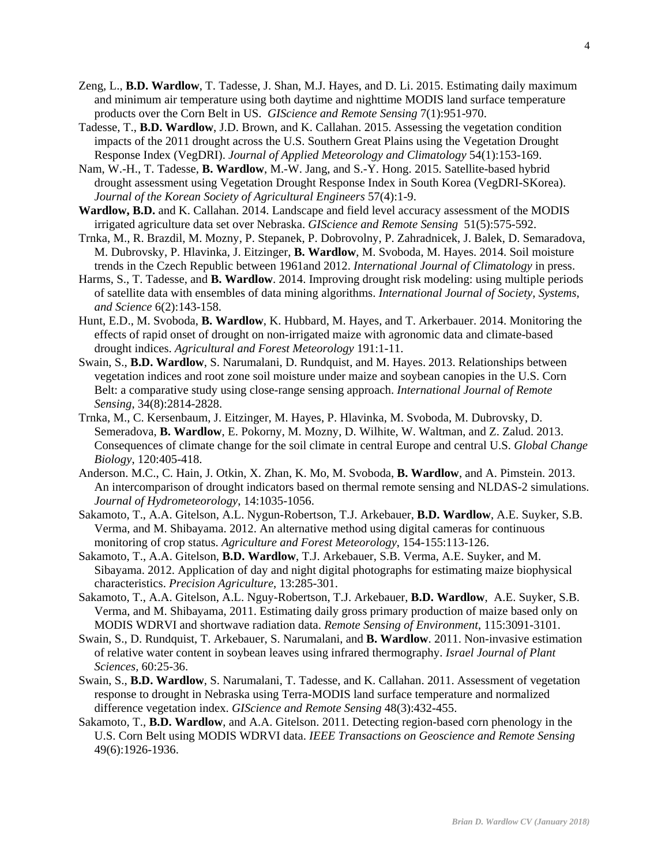- Zeng, L., **B.D. Wardlow**, T. Tadesse, J. Shan, M.J. Hayes, and D. Li. 2015. Estimating daily maximum and minimum air temperature using both daytime and nighttime MODIS land surface temperature products over the Corn Belt in US. *GIScience and Remote Sensing* 7(1):951-970.
- Tadesse, T., **B.D. Wardlow**, J.D. Brown, and K. Callahan. 2015. Assessing the vegetation condition impacts of the 2011 drought across the U.S. Southern Great Plains using the Vegetation Drought Response Index (VegDRI). *Journal of Applied Meteorology and Climatology* 54(1):153-169.
- Nam, W.-H., T. Tadesse, **B. Wardlow**, M.-W. Jang, and S.-Y. Hong. 2015. Satellite-based hybrid drought assessment using Vegetation Drought Response Index in South Korea (VegDRI-SKorea). *Journal of the Korean Society of Agricultural Engineers* 57(4):1-9.
- **Wardlow, B.D.** and K. Callahan. 2014. Landscape and field level accuracy assessment of the MODIS irrigated agriculture data set over Nebraska. *GIScience and Remote Sensing* 51(5):575-592.
- Trnka, M., R. Brazdil, M. Mozny, P. Stepanek, P. Dobrovolny, P. Zahradnicek, J. Balek, D. Semaradova, M. Dubrovsky, P. Hlavinka, J. Eitzinger, **B. Wardlow**, M. Svoboda, M. Hayes. 2014. Soil moisture trends in the Czech Republic between 1961and 2012. *International Journal of Climatology* in press.
- Harms, S., T. Tadesse, and **B. Wardlow**. 2014. Improving drought risk modeling: using multiple periods of satellite data with ensembles of data mining algorithms. *International Journal of Society, Systems, and Science* 6(2):143-158.
- Hunt, E.D., M. Svoboda, **B. Wardlow**, K. Hubbard, M. Hayes, and T. Arkerbauer. 2014. Monitoring the effects of rapid onset of drought on non-irrigated maize with agronomic data and climate-based drought indices. *Agricultural and Forest Meteorology* 191:1-11.
- Swain, S., **B.D. Wardlow**, S. Narumalani, D. Rundquist, and M. Hayes. 2013. Relationships between vegetation indices and root zone soil moisture under maize and soybean canopies in the U.S. Corn Belt: a comparative study using close-range sensing approach. *International Journal of Remote Sensing*, 34(8):2814-2828.
- Trnka, M., C. Kersenbaum, J. Eitzinger, M. Hayes, P. Hlavinka, M. Svoboda, M. Dubrovsky, D. Semeradova, **B. Wardlow**, E. Pokorny, M. Mozny, D. Wilhite, W. Waltman, and Z. Zalud. 2013. Consequences of climate change for the soil climate in central Europe and central U.S. *Global Change Biology*, 120:405-418.
- Anderson. M.C., C. Hain, J. Otkin, X. Zhan, K. Mo, M. Svoboda, **B. Wardlow**, and A. Pimstein. 2013. An intercomparison of drought indicators based on thermal remote sensing and NLDAS-2 simulations. *Journal of Hydrometeorology*, 14:1035-1056.
- Sakamoto, T., A.A. Gitelson, A.L. Nygun-Robertson, T.J. Arkebauer, **B.D. Wardlow**, A.E. Suyker, S.B. Verma, and M. Shibayama. 2012. An alternative method using digital cameras for continuous monitoring of crop status. *Agriculture and Forest Meteorology*, 154-155:113-126.
- Sakamoto, T., A.A. Gitelson, **B.D. Wardlow**, T.J. Arkebauer, S.B. Verma, A.E. Suyker, and M. Sibayama. 2012. Application of day and night digital photographs for estimating maize biophysical characteristics. *Precision Agriculture*, 13:285-301.
- Sakamoto, T., A.A. Gitelson, A.L. Nguy-Robertson, T.J. Arkebauer, **B.D. Wardlow**, A.E. Suyker, S.B. Verma, and M. Shibayama, 2011. Estimating daily gross primary production of maize based only on MODIS WDRVI and shortwave radiation data. *Remote Sensing of Environment*, 115:3091-3101.
- Swain, S., D. Rundquist, T. Arkebauer, S. Narumalani, and **B. Wardlow**. 2011. Non-invasive estimation of relative water content in soybean leaves using infrared thermography. *Israel Journal of Plant Sciences,* 60:25-36.
- Swain, S., **B.D. Wardlow**, S. Narumalani, T. Tadesse, and K. Callahan. 2011. Assessment of vegetation response to drought in Nebraska using Terra-MODIS land surface temperature and normalized difference vegetation index. *GIScience and Remote Sensing* 48(3):432-455.
- Sakamoto, T., **B.D. Wardlow**, and A.A. Gitelson. 2011. Detecting region-based corn phenology in the U.S. Corn Belt using MODIS WDRVI data. *IEEE Transactions on Geoscience and Remote Sensing* 49(6):1926-1936.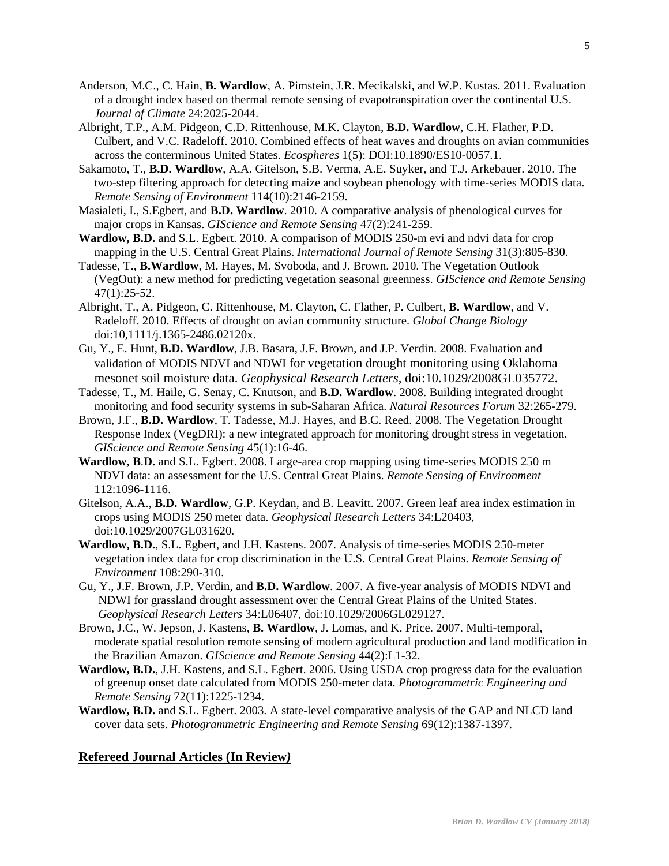- Anderson, M.C., C. Hain, **B. Wardlow**, A. Pimstein, J.R. Mecikalski, and W.P. Kustas. 2011. Evaluation of a drought index based on thermal remote sensing of evapotranspiration over the continental U.S. *Journal of Climate* 24:2025-2044.
- Albright, T.P., A.M. Pidgeon, C.D. Rittenhouse, M.K. Clayton, **B.D. Wardlow**, C.H. Flather, P.D. Culbert, and V.C. Radeloff. 2010. Combined effects of heat waves and droughts on avian communities across the conterminous United States. *Ecospheres* 1(5): DOI:10.1890/ES10-0057.1.
- Sakamoto, T., **B.D. Wardlow**, A.A. Gitelson, S.B. Verma, A.E. Suyker, and T.J. Arkebauer. 2010. The two-step filtering approach for detecting maize and soybean phenology with time-series MODIS data. *Remote Sensing of Environment* 114(10):2146-2159.
- Masialeti, I., S.Egbert, and **B.D. Wardlow**. 2010. A comparative analysis of phenological curves for major crops in Kansas. *GIScience and Remote Sensing* 47(2):241-259.
- **Wardlow, B.D.** and S.L. Egbert. 2010. A comparison of MODIS 250-m evi and ndvi data for crop mapping in the U.S. Central Great Plains. *International Journal of Remote Sensing* 31(3):805-830.
- Tadesse, T., **B.Wardlow**, M. Hayes, M. Svoboda, and J. Brown. 2010. The Vegetation Outlook (VegOut): a new method for predicting vegetation seasonal greenness. *GIScience and Remote Sensing* 47(1):25-52.
- Albright, T., A. Pidgeon, C. Rittenhouse, M. Clayton, C. Flather, P. Culbert, **B. Wardlow**, and V. Radeloff. 2010. Effects of drought on avian community structure. *Global Change Biology* doi:10,1111/j.1365-2486.02120x.
- Gu, Y., E. Hunt, **B.D. Wardlow**, J.B. Basara, J.F. Brown, and J.P. Verdin. 2008. Evaluation and validation of MODIS NDVI and NDWI for vegetation drought monitoring using Oklahoma mesonet soil moisture data. *Geophysical Research Letters,* doi:10.1029/2008GL035772.
- Tadesse, T., M. Haile, G. Senay, C. Knutson, and **B.D. Wardlow**. 2008. Building integrated drought monitoring and food security systems in sub-Saharan Africa. *Natural Resources Forum* 32:265-279.
- Brown, J.F., **B.D. Wardlow**, T. Tadesse, M.J. Hayes, and B.C. Reed. 2008. The Vegetation Drought Response Index (VegDRI): a new integrated approach for monitoring drought stress in vegetation. *GIScience and Remote Sensing* 45(1):16-46.
- **Wardlow, B**.**D.** and S.L. Egbert. 2008. Large-area crop mapping using time-series MODIS 250 m NDVI data: an assessment for the U.S. Central Great Plains. *Remote Sensing of Environment* 112:1096-1116.
- Gitelson, A.A., **B.D. Wardlow**, G.P. Keydan, and B. Leavitt. 2007. Green leaf area index estimation in crops using MODIS 250 meter data. *Geophysical Research Letters* 34:L20403, doi:10.1029/2007GL031620*.*
- **Wardlow, B.D.**, S.L. Egbert, and J.H. Kastens. 2007. Analysis of time-series MODIS 250-meter vegetation index data for crop discrimination in the U.S. Central Great Plains. *Remote Sensing of Environment* 108:290-310.
- Gu, Y., J.F. Brown, J.P. Verdin, and **B.D. Wardlow**. 2007. A five-year analysis of MODIS NDVI and NDWI for grassland drought assessment over the Central Great Plains of the United States.  *Geophysical Research Letters* 34:L06407, doi:10.1029/2006GL029127.
- Brown, J.C., W. Jepson, J. Kastens, **B. Wardlow**, J. Lomas, and K. Price. 2007. Multi-temporal, moderate spatial resolution remote sensing of modern agricultural production and land modification in the Brazilian Amazon. *GIScience and Remote Sensing* 44(2):L1-32.
- **Wardlow, B.D.**, J.H. Kastens, and S.L. Egbert. 2006. Using USDA crop progress data for the evaluation of greenup onset date calculated from MODIS 250-meter data. *Photogrammetric Engineering and Remote Sensing* 72(11):1225-1234.
- **Wardlow, B.D.** and S.L. Egbert. 2003. A state-level comparative analysis of the GAP and NLCD land cover data sets. *Photogrammetric Engineering and Remote Sensing* 69(12):1387-1397.

# **Refereed Journal Articles (In Review***)*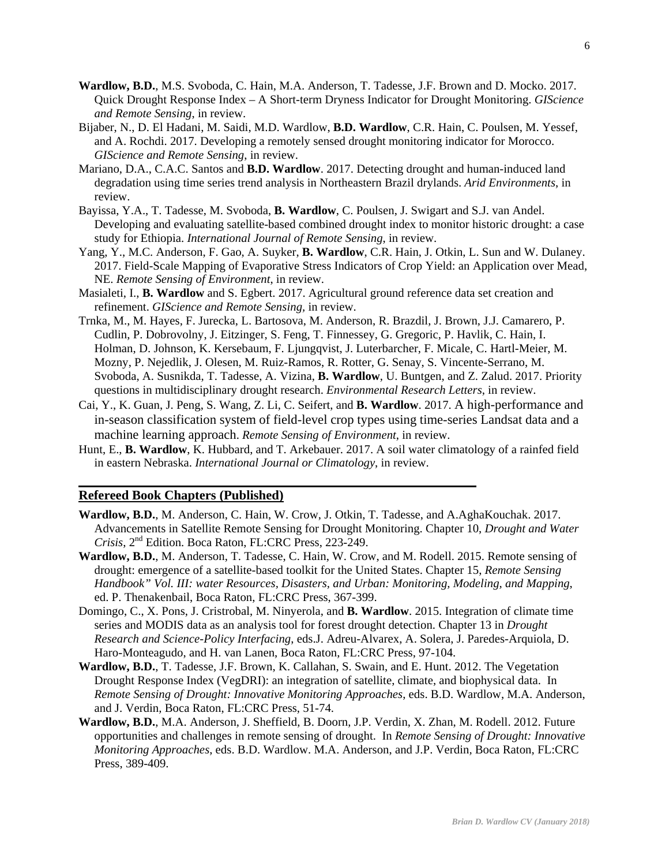- **Wardlow, B.D.**, M.S. Svoboda, C. Hain, M.A. Anderson, T. Tadesse, J.F. Brown and D. Mocko. 2017. Quick Drought Response Index – A Short-term Dryness Indicator for Drought Monitoring. *GIScience and Remote Sensing*, in review.
- Bijaber, N., D. El Hadani, M. Saidi, M.D. Wardlow, **B.D. Wardlow**, C.R. Hain, C. Poulsen, M. Yessef, and A. Rochdi. 2017. Developing a remotely sensed drought monitoring indicator for Morocco. *GIScience and Remote Sensing*, in review.
- Mariano, D.A., C.A.C. Santos and **B.D. Wardlow**. 2017. Detecting drought and human-induced land degradation using time series trend analysis in Northeastern Brazil drylands. *Arid Environments*, in review.
- Bayissa, Y.A., T. Tadesse, M. Svoboda, **B. Wardlow**, C. Poulsen, J. Swigart and S.J. van Andel. Developing and evaluating satellite-based combined drought index to monitor historic drought: a case study for Ethiopia. *International Journal of Remote Sensing*, in review.
- Yang, Y., M.C. Anderson, F. Gao, A. Suyker, **B. Wardlow**, C.R. Hain, J. Otkin, L. Sun and W. Dulaney. 2017. Field-Scale Mapping of Evaporative Stress Indicators of Crop Yield: an Application over Mead, NE. *Remote Sensing of Environment*, in review.
- Masialeti, I., **B. Wardlow** and S. Egbert. 2017. Agricultural ground reference data set creation and refinement. *GIScience and Remote Sensing,* in review.
- Trnka, M., M. Hayes, F. Jurecka, L. Bartosova, M. Anderson, R. Brazdil, J. Brown, J.J. Camarero, P. Cudlin, P. Dobrovolny, J. Eitzinger, S. Feng, T. Finnessey, G. Gregoric, P. Havlik, C. Hain, I. Holman, D. Johnson, K. Kersebaum, F. Ljungqvist, J. Luterbarcher, F. Micale, C. Hartl-Meier, M. Mozny, P. Nejedlik, J. Olesen, M. Ruiz-Ramos, R. Rotter, G. Senay, S. Vincente-Serrano, M. Svoboda, A. Susnikda, T. Tadesse, A. Vizina, **B. Wardlow**, U. Buntgen, and Z. Zalud. 2017. Priority questions in multidisciplinary drought research. *Environmental Research Letters*, in review.
- Cai, Y., K. Guan, J. Peng, S. Wang, Z. Li, C. Seifert, and **B. Wardlow**. 2017. A high-performance and in-season classification system of field-level crop types using time-series Landsat data and a machine learning approach. *Remote Sensing of Environment*, in review.
- Hunt, E., **B. Wardlow**, K. Hubbard, and T. Arkebauer. 2017. A soil water climatology of a rainfed field in eastern Nebraska. *International Journal or Climatology*, in review.

# **Refereed Book Chapters (Published)**

- **Wardlow, B.D.**, M. Anderson, C. Hain, W. Crow, J. Otkin, T. Tadesse, and A.AghaKouchak. 2017. Advancements in Satellite Remote Sensing for Drought Monitoring. Chapter 10, *Drought and Water Crisis*, 2nd Edition. Boca Raton, FL:CRC Press, 223-249.
- **Wardlow, B.D.**, M. Anderson, T. Tadesse, C. Hain, W. Crow, and M. Rodell. 2015. Remote sensing of drought: emergence of a satellite-based toolkit for the United States. Chapter 15, *Remote Sensing Handbook" Vol. III: water Resources, Disasters, and Urban: Monitoring, Modeling, and Mapping*, ed. P. Thenakenbail, Boca Raton, FL:CRC Press, 367-399.
- Domingo, C., X. Pons, J. Cristrobal, M. Ninyerola, and **B. Wardlow**. 2015. Integration of climate time series and MODIS data as an analysis tool for forest drought detection. Chapter 13 in *Drought Research and Science-Policy Interfacing*, eds.J. Adreu-Alvarex, A. Solera, J. Paredes-Arquiola, D. Haro-Monteagudo, and H. van Lanen, Boca Raton, FL:CRC Press, 97-104.
- **Wardlow, B.D.**, T. Tadesse, J.F. Brown, K. Callahan, S. Swain, and E. Hunt. 2012. The Vegetation Drought Response Index (VegDRI): an integration of satellite, climate, and biophysical data. In *Remote Sensing of Drought: Innovative Monitoring Approaches*, eds. B.D. Wardlow, M.A. Anderson, and J. Verdin*,* Boca Raton, FL:CRC Press, 51-74.
- **Wardlow, B.D.**, M.A. Anderson, J. Sheffield, B. Doorn, J.P. Verdin, X. Zhan, M. Rodell. 2012. Future opportunities and challenges in remote sensing of drought. In *Remote Sensing of Drought: Innovative Monitoring Approaches*, eds. B.D. Wardlow. M.A. Anderson, and J.P. Verdin*,* Boca Raton, FL:CRC Press, 389-409.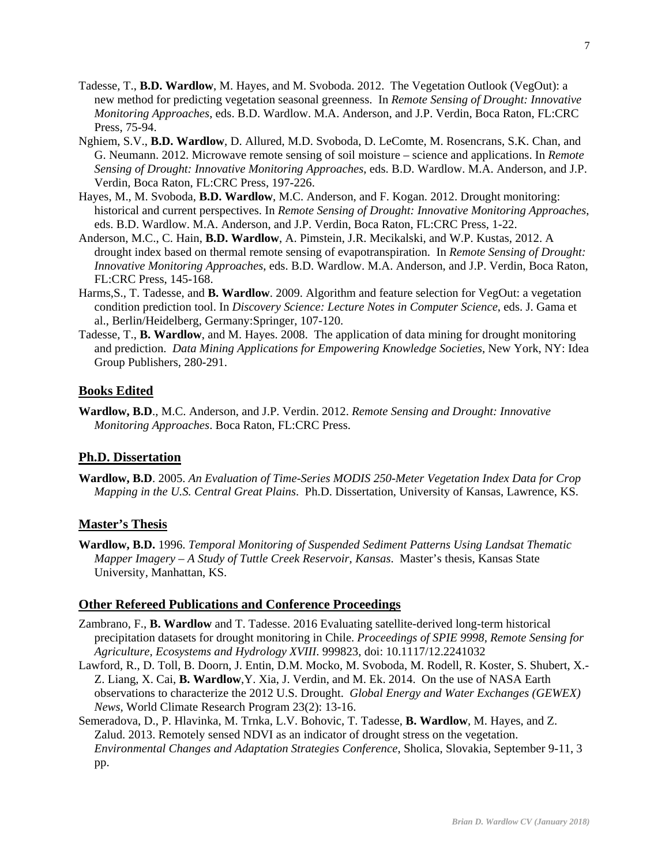- Tadesse, T., **B.D. Wardlow**, M. Hayes, and M. Svoboda. 2012. The Vegetation Outlook (VegOut): a new method for predicting vegetation seasonal greenness. In *Remote Sensing of Drought: Innovative Monitoring Approaches*, eds. B.D. Wardlow. M.A. Anderson, and J.P. Verdin*,* Boca Raton, FL:CRC Press, 75-94.
- Nghiem, S.V., **B.D. Wardlow**, D. Allured, M.D. Svoboda, D. LeComte, M. Rosencrans, S.K. Chan, and G. Neumann. 2012. Microwave remote sensing of soil moisture – science and applications. In *Remote Sensing of Drought: Innovative Monitoring Approaches*, eds. B.D. Wardlow. M.A. Anderson, and J.P. Verdin*,* Boca Raton, FL:CRC Press, 197-226.
- Hayes, M., M. Svoboda, **B.D. Wardlow**, M.C. Anderson, and F. Kogan. 2012. Drought monitoring: historical and current perspectives. In *Remote Sensing of Drought: Innovative Monitoring Approaches*, eds. B.D. Wardlow. M.A. Anderson, and J.P. Verdin*,* Boca Raton, FL:CRC Press, 1-22.
- Anderson, M.C., C. Hain, **B.D. Wardlow**, A. Pimstein, J.R. Mecikalski, and W.P. Kustas, 2012. A drought index based on thermal remote sensing of evapotranspiration. In *Remote Sensing of Drought: Innovative Monitoring Approaches*, eds. B.D. Wardlow. M.A. Anderson, and J.P. Verdin, Boca Raton, FL:CRC Press, 145-168.
- Harms,S., T. Tadesse, and **B. Wardlow**. 2009. Algorithm and feature selection for VegOut: a vegetation condition prediction tool. In *Discovery Science: Lecture Notes in Computer Science*, eds. J. Gama et al., Berlin/Heidelberg, Germany:Springer, 107-120.
- Tadesse, T., **B. Wardlow**, and M. Hayes. 2008. The application of data mining for drought monitoring and prediction. *Data Mining Applications for Empowering Knowledge Societies*, New York, NY: Idea Group Publishers, 280-291.

# **Books Edited**

**Wardlow, B.D**., M.C. Anderson, and J.P. Verdin. 2012. *Remote Sensing and Drought: Innovative Monitoring Approaches*. Boca Raton, FL:CRC Press.

# **Ph.D. Dissertation**

**Wardlow, B.D**. 2005. *An Evaluation of Time-Series MODIS 250-Meter Vegetation Index Data for Crop Mapping in the U.S. Central Great Plains*. Ph.D. Dissertation, University of Kansas, Lawrence, KS.

### **Master's Thesis**

**Wardlow, B.D.** 1996. *Temporal Monitoring of Suspended Sediment Patterns Using Landsat Thematic Mapper Imagery – A Study of Tuttle Creek Reservoir, Kansas*. Master's thesis, Kansas State University, Manhattan, KS.

#### **Other Refereed Publications and Conference Proceedings**

- Zambrano, F., **B. Wardlow** and T. Tadesse. 2016 Evaluating satellite-derived long-term historical precipitation datasets for drought monitoring in Chile. *Proceedings of SPIE 9998, Remote Sensing for Agriculture, Ecosystems and Hydrology XVIII*. 999823, doi: 10.1117/12.2241032
- Lawford, R., D. Toll, B. Doorn, J. Entin, D.M. Mocko, M. Svoboda, M. Rodell, R. Koster, S. Shubert, X.- Z. Liang, X. Cai, **B. Wardlow**,Y. Xia, J. Verdin, and M. Ek. 2014. On the use of NASA Earth observations to characterize the 2012 U.S. Drought. *Global Energy and Water Exchanges (GEWEX) News,* World Climate Research Program 23(2): 13-16.
- Semeradova, D., P. Hlavinka, M. Trnka, L.V. Bohovic, T. Tadesse, **B. Wardlow**, M. Hayes, and Z. Zalud. 2013. Remotely sensed NDVI as an indicator of drought stress on the vegetation. *Environmental Changes and Adaptation Strategies Conference*, Sholica, Slovakia, September 9-11, 3 pp.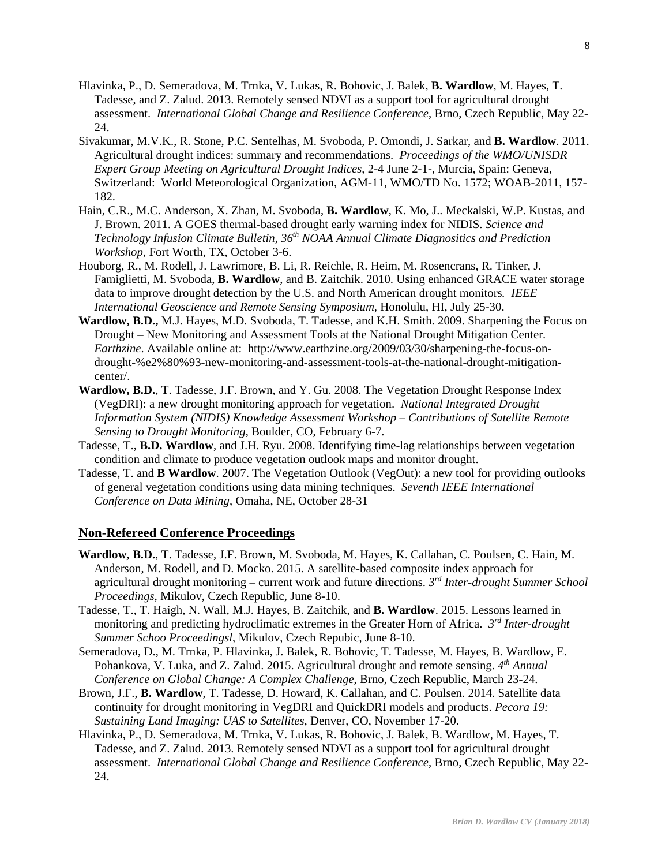- Hlavinka, P., D. Semeradova, M. Trnka, V. Lukas, R. Bohovic, J. Balek, **B. Wardlow**, M. Hayes, T. Tadesse, and Z. Zalud. 2013. Remotely sensed NDVI as a support tool for agricultural drought assessment. *International Global Change and Resilience Conference*, Brno, Czech Republic, May 22- 24.
- Sivakumar, M.V.K., R. Stone, P.C. Sentelhas, M. Svoboda, P. Omondi, J. Sarkar, and **B. Wardlow**. 2011. Agricultural drought indices: summary and recommendations. *Proceedings of the WMO/UNISDR Expert Group Meeting on Agricultural Drought Indices*, 2-4 June 2-1-, Murcia, Spain: Geneva, Switzerland: World Meteorological Organization, AGM-11, WMO/TD No. 1572; WOAB-2011, 157- 182.
- Hain, C.R., M.C. Anderson, X. Zhan, M. Svoboda, **B. Wardlow**, K. Mo, J.. Meckalski, W.P. Kustas, and J. Brown. 2011. A GOES thermal-based drought early warning index for NIDIS. *Science and Technology Infusion Climate Bulletin, 36th NOAA Annual Climate Diagnositics and Prediction Workshop*, Fort Worth, TX, October 3-6.
- Houborg, R., M. Rodell, J. Lawrimore, B. Li, R. Reichle, R. Heim, M. Rosencrans, R. Tinker, J. Famiglietti, M. Svoboda, **B. Wardlow**, and B. Zaitchik. 2010. Using enhanced GRACE water storage data to improve drought detection by the U.S. and North American drought monitors*. IEEE International Geoscience and Remote Sensing Symposium*, Honolulu, HI, July 25-30.
- **Wardlow, B.D.,** M.J. Hayes, M.D. Svoboda, T. Tadesse, and K.H. Smith. 2009. Sharpening the Focus on Drought – New Monitoring and Assessment Tools at the National Drought Mitigation Center. *Earthzine*. Available online at: http://www.earthzine.org/2009/03/30/sharpening-the-focus-ondrought-%e2%80%93-new-monitoring-and-assessment-tools-at-the-national-drought-mitigationcenter/.
- **Wardlow, B.D.**, T. Tadesse, J.F. Brown, and Y. Gu. 2008. The Vegetation Drought Response Index (VegDRI): a new drought monitoring approach for vegetation. *National Integrated Drought Information System (NIDIS) Knowledge Assessment Workshop – Contributions of Satellite Remote Sensing to Drought Monitoring*, Boulder, CO, February 6-7.
- Tadesse, T., **B.D. Wardlow**, and J.H. Ryu. 2008. Identifying time-lag relationships between vegetation condition and climate to produce vegetation outlook maps and monitor drought.
- Tadesse, T. and **B Wardlow**. 2007. The Vegetation Outlook (VegOut): a new tool for providing outlooks of general vegetation conditions using data mining techniques. *Seventh IEEE International Conference on Data Mining*, Omaha, NE, October 28-31

#### **Non-Refereed Conference Proceedings**

- **Wardlow, B.D.**, T. Tadesse, J.F. Brown, M. Svoboda, M. Hayes, K. Callahan, C. Poulsen, C. Hain, M. Anderson, M. Rodell, and D. Mocko. 2015. A satellite-based composite index approach for agricultural drought monitoring – current work and future directions. *3rd Inter-drought Summer School Proceedings*, Mikulov, Czech Republic, June 8-10.
- Tadesse, T., T. Haigh, N. Wall, M.J. Hayes, B. Zaitchik, and **B. Wardlow**. 2015. Lessons learned in monitoring and predicting hydroclimatic extremes in the Greater Horn of Africa. *3rd Inter-drought Summer Schoo Proceedingsl*, Mikulov, Czech Repubic, June 8-10.
- Semeradova, D., M. Trnka, P. Hlavinka, J. Balek, R. Bohovic, T. Tadesse, M. Hayes, B. Wardlow, E. Pohankova, V. Luka, and Z. Zalud. 2015. Agricultural drought and remote sensing. *4th Annual Conference on Global Change: A Complex Challenge*, Brno, Czech Republic, March 23-24.
- Brown, J.F., **B. Wardlow**, T. Tadesse, D. Howard, K. Callahan, and C. Poulsen. 2014. Satellite data continuity for drought monitoring in VegDRI and QuickDRI models and products. *Pecora 19: Sustaining Land Imaging: UAS to Satellites*, Denver, CO, November 17-20.
- Hlavinka, P., D. Semeradova, M. Trnka, V. Lukas, R. Bohovic, J. Balek, B. Wardlow, M. Hayes, T. Tadesse, and Z. Zalud. 2013. Remotely sensed NDVI as a support tool for agricultural drought assessment. *International Global Change and Resilience Conference*, Brno, Czech Republic, May 22- 24.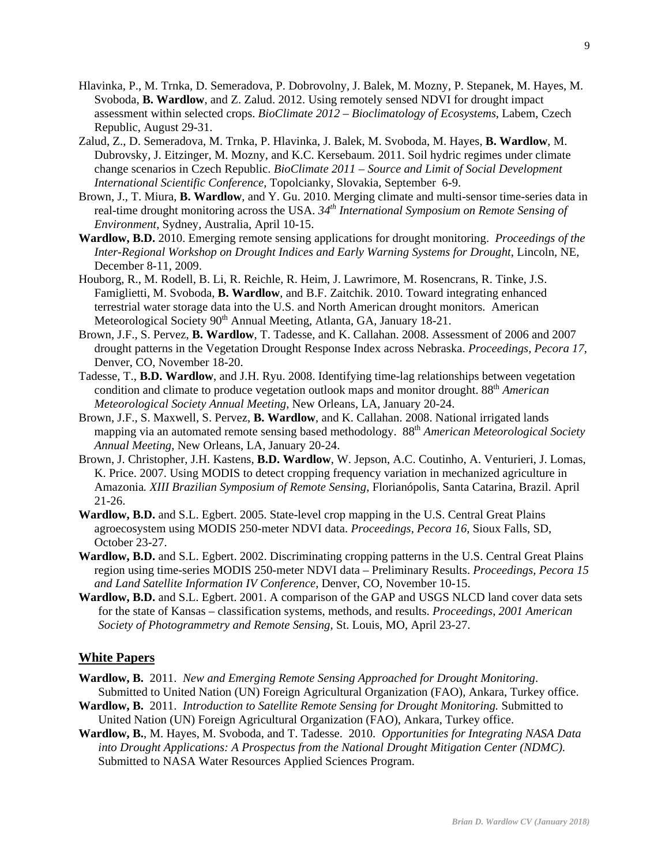- Hlavinka, P., M. Trnka, D. Semeradova, P. Dobrovolny, J. Balek, M. Mozny, P. Stepanek, M. Hayes, M. Svoboda, **B. Wardlow**, and Z. Zalud. 2012. Using remotely sensed NDVI for drought impact assessment within selected crops. *BioClimate 2012 – Bioclimatology of Ecosystems*, Labem, Czech Republic, August 29-31.
- Zalud, Z., D. Semeradova, M. Trnka, P. Hlavinka, J. Balek, M. Svoboda, M. Hayes, **B. Wardlow**, M. Dubrovsky, J. Eitzinger, M. Mozny, and K.C. Kersebaum. 2011. Soil hydric regimes under climate change scenarios in Czech Republic. *BioClimate 2011 – Source and Limit of Social Development International Scientific Conference*, Topolcianky, Slovakia, September 6-9.
- Brown, J., T. Miura, **B. Wardlow**, and Y. Gu. 2010. Merging climate and multi-sensor time-series data in real-time drought monitoring across the USA. *34th International Symposium on Remote Sensing of Environment*, Sydney, Australia, April 10-15.
- **Wardlow, B.D.** 2010. Emerging remote sensing applications for drought monitoring. *Proceedings of the Inter-Regional Workshop on Drought Indices and Early Warning Systems for Drought*, Lincoln, NE, December 8-11, 2009.
- Houborg, R., M. Rodell, B. Li, R. Reichle, R. Heim, J. Lawrimore, M. Rosencrans, R. Tinke, J.S. Famiglietti, M. Svoboda, **B. Wardlow**, and B.F. Zaitchik. 2010. Toward integrating enhanced terrestrial water storage data into the U.S. and North American drought monitors. American Meteorological Society 90<sup>th</sup> Annual Meeting, Atlanta, GA, January 18-21.
- Brown, J.F., S. Pervez, **B. Wardlow**, T. Tadesse, and K. Callahan. 2008. Assessment of 2006 and 2007 drought patterns in the Vegetation Drought Response Index across Nebraska. *Proceedings, Pecora 17*, Denver, CO, November 18-20.
- Tadesse, T., **B.D. Wardlow**, and J.H. Ryu. 2008. Identifying time-lag relationships between vegetation condition and climate to produce vegetation outlook maps and monitor drought. 88th *American Meteorological Society Annual Meeting*, New Orleans, LA, January 20-24.
- Brown, J.F., S. Maxwell, S. Pervez, **B. Wardlow**, and K. Callahan. 2008. National irrigated lands mapping via an automated remote sensing based methodology. 88th *American Meteorological Society Annual Meeting*, New Orleans, LA, January 20-24.
- Brown, J. Christopher, J.H. Kastens, **B.D. Wardlow**, W. Jepson, A.C. Coutinho, A. Venturieri, J. Lomas, K. Price. 2007. Using MODIS to detect cropping frequency variation in mechanized agriculture in Amazonia*. XIII Brazilian Symposium of Remote Sensing*, Florianópolis, Santa Catarina, Brazil. April 21-26.
- **Wardlow, B.D.** and S.L. Egbert. 2005. State-level crop mapping in the U.S. Central Great Plains agroecosystem using MODIS 250-meter NDVI data. *Proceedings, Pecora 16*, Sioux Falls, SD, October 23-27.
- **Wardlow, B.D.** and S.L. Egbert. 2002. Discriminating cropping patterns in the U.S. Central Great Plains region using time-series MODIS 250-meter NDVI data – Preliminary Results. *Proceedings, Pecora 15 and Land Satellite Information IV Conference,* Denver, CO, November 10-15.
- **Wardlow, B.D.** and S.L. Egbert. 2001. A comparison of the GAP and USGS NLCD land cover data sets for the state of Kansas – classification systems, methods, and results. *Proceedings, 2001 American Society of Photogrammetry and Remote Sensing,* St. Louis, MO, April 23-27.

# **White Papers**

- **Wardlow, B.** 2011. *New and Emerging Remote Sensing Approached for Drought Monitoring*. Submitted to United Nation (UN) Foreign Agricultural Organization (FAO), Ankara, Turkey office.
- **Wardlow, B.** 2011. *Introduction to Satellite Remote Sensing for Drought Monitoring.* Submitted to United Nation (UN) Foreign Agricultural Organization (FAO), Ankara, Turkey office.
- **Wardlow, B.**, M. Hayes, M. Svoboda, and T. Tadesse. 2010. *Opportunities for Integrating NASA Data into Drought Applications: A Prospectus from the National Drought Mitigation Center (NDMC).* Submitted to NASA Water Resources Applied Sciences Program.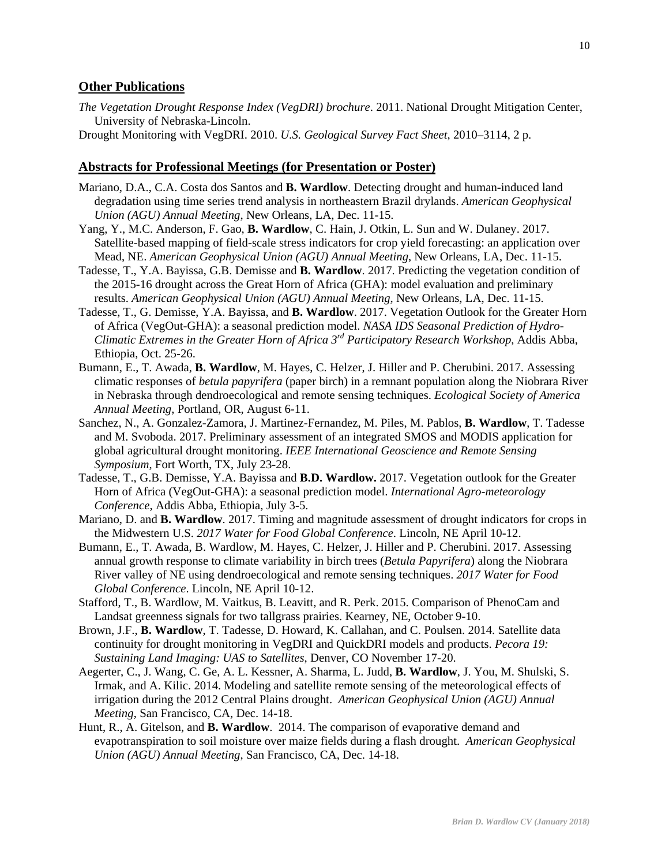#### **Other Publications**

- *The Vegetation Drought Response Index (VegDRI) brochure*. 2011. National Drought Mitigation Center, University of Nebraska-Lincoln.
- Drought Monitoring with VegDRI. 2010. *U.S. Geological Survey Fact Sheet*, 2010–3114, 2 p.

#### **Abstracts for Professional Meetings (for Presentation or Poster)**

- Mariano, D.A., C.A. Costa dos Santos and **B. Wardlow**. Detecting drought and human-induced land degradation using time series trend analysis in northeastern Brazil drylands. *American Geophysical Union (AGU) Annual Meeting*, New Orleans, LA, Dec. 11-15.
- Yang, Y., M.C. Anderson, F. Gao, **B. Wardlow**, C. Hain, J. Otkin, L. Sun and W. Dulaney. 2017. Satellite-based mapping of field-scale stress indicators for crop yield forecasting: an application over Mead, NE. *American Geophysical Union (AGU) Annual Meeting*, New Orleans, LA, Dec. 11-15.
- Tadesse, T., Y.A. Bayissa, G.B. Demisse and **B. Wardlow**. 2017. Predicting the vegetation condition of the 2015-16 drought across the Great Horn of Africa (GHA): model evaluation and preliminary results. *American Geophysical Union (AGU) Annual Meeting*, New Orleans, LA, Dec. 11-15.
- Tadesse, T., G. Demisse, Y.A. Bayissa, and **B. Wardlow**. 2017. Vegetation Outlook for the Greater Horn of Africa (VegOut-GHA): a seasonal prediction model. *NASA IDS Seasonal Prediction of Hydro-Climatic Extremes in the Greater Horn of Africa 3rd Participatory Research Workshop*, Addis Abba, Ethiopia, Oct. 25-26.
- Bumann, E., T. Awada, **B. Wardlow**, M. Hayes, C. Helzer, J. Hiller and P. Cherubini. 2017. Assessing climatic responses of *betula papyrifera* (paper birch) in a remnant population along the Niobrara River in Nebraska through dendroecological and remote sensing techniques. *Ecological Society of America Annual Meeting*, Portland, OR, August 6-11.
- Sanchez, N., A. Gonzalez-Zamora, J. Martinez-Fernandez, M. Piles, M. Pablos, **B. Wardlow**, T. Tadesse and M. Svoboda. 2017. Preliminary assessment of an integrated SMOS and MODIS application for global agricultural drought monitoring. *IEEE International Geoscience and Remote Sensing Symposium*, Fort Worth, TX, July 23-28.
- Tadesse, T., G.B. Demisse, Y.A. Bayissa and **B.D. Wardlow.** 2017. Vegetation outlook for the Greater Horn of Africa (VegOut-GHA): a seasonal prediction model. *International Agro-meteorology Conference*, Addis Abba, Ethiopia, July 3-5.
- Mariano, D. and **B. Wardlow**. 2017. Timing and magnitude assessment of drought indicators for crops in the Midwestern U.S. *2017 Water for Food Global Conference*. Lincoln, NE April 10-12.
- Bumann, E., T. Awada, B. Wardlow, M. Hayes, C. Helzer, J. Hiller and P. Cherubini. 2017. Assessing annual growth response to climate variability in birch trees (*Betula Papyrifera*) along the Niobrara River valley of NE using dendroecological and remote sensing techniques. *2017 Water for Food Global Conference*. Lincoln, NE April 10-12.
- Stafford, T., B. Wardlow, M. Vaitkus, B. Leavitt, and R. Perk. 2015. Comparison of PhenoCam and Landsat greenness signals for two tallgrass prairies. Kearney, NE, October 9-10.
- Brown, J.F., **B. Wardlow**, T. Tadesse, D. Howard, K. Callahan, and C. Poulsen. 2014. Satellite data continuity for drought monitoring in VegDRI and QuickDRI models and products. *Pecora 19: Sustaining Land Imaging: UAS to Satellites*, Denver, CO November 17-20.
- Aegerter, C., J. Wang, C. Ge, A. L. Kessner, A. Sharma, L. Judd, **B. Wardlow**, J. You, M. Shulski, S. Irmak, and A. Kilic. 2014. Modeling and satellite remote sensing of the meteorological effects of irrigation during the 2012 Central Plains drought. *American Geophysical Union (AGU) Annual Meeting*, San Francisco, CA, Dec. 14-18.
- Hunt, R., A. Gitelson, and **B. Wardlow**. 2014. The comparison of evaporative demand and evapotranspiration to soil moisture over maize fields during a flash drought. *American Geophysical Union (AGU) Annual Meeting*, San Francisco, CA, Dec. 14-18.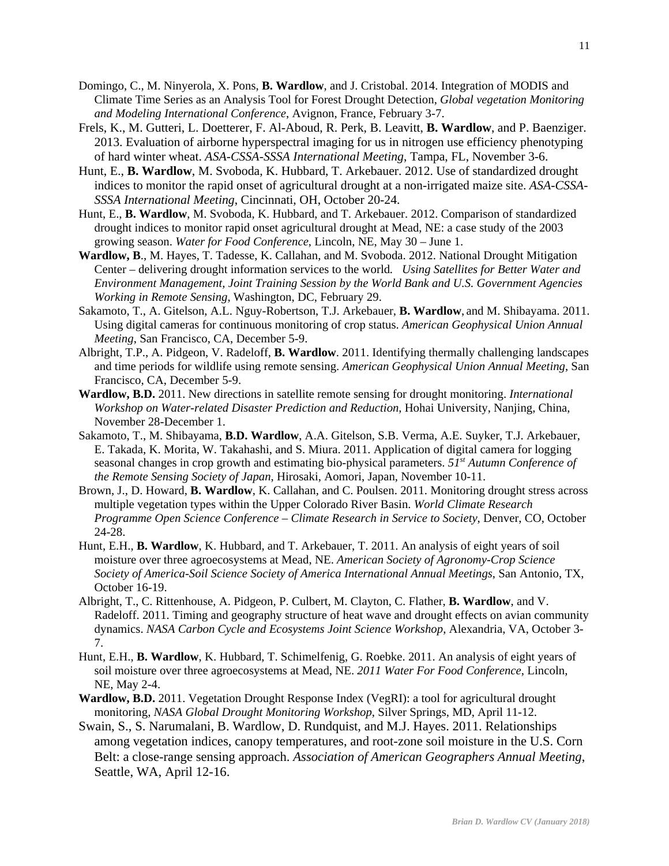- Domingo, C., M. Ninyerola, X. Pons, **B. Wardlow**, and J. Cristobal. 2014. Integration of MODIS and Climate Time Series as an Analysis Tool for Forest Drought Detection, *Global vegetation Monitoring and Modeling International Conference*, Avignon, France, February 3-7.
- Frels, K., M. Gutteri, L. Doetterer, F. Al-Aboud, R. Perk, B. Leavitt, **B. Wardlow**, and P. Baenziger. 2013. Evaluation of airborne hyperspectral imaging for us in nitrogen use efficiency phenotyping of hard winter wheat. *ASA-CSSA-SSSA International Meeting*, Tampa, FL, November 3-6.
- Hunt, E., **B. Wardlow**, M. Svoboda, K. Hubbard, T. Arkebauer. 2012. Use of standardized drought indices to monitor the rapid onset of agricultural drought at a non-irrigated maize site. *ASA-CSSA-SSSA International Meeting*, Cincinnati, OH, October 20-24.
- Hunt, E., **B. Wardlow**, M. Svoboda, K. Hubbard, and T. Arkebauer. 2012. Comparison of standardized drought indices to monitor rapid onset agricultural drought at Mead, NE: a case study of the 2003 growing season. *Water for Food Conference*, Lincoln, NE, May 30 – June 1.
- **Wardlow, B**., M. Hayes, T. Tadesse, K. Callahan, and M. Svoboda. 2012. National Drought Mitigation Center – delivering drought information services to the world*. Using Satellites for Better Water and Environment Management, Joint Training Session by the World Bank and U.S. Government Agencies Working in Remote Sensing*, Washington, DC, February 29.
- Sakamoto, T., A. Gitelson, A.L. Nguy-Robertson, T.J. Arkebauer, **B. Wardlow**, and M. Shibayama. 2011. Using digital cameras for continuous monitoring of crop status. *American Geophysical Union Annual Meeting*, San Francisco, CA, December 5-9.
- Albright, T.P., A. Pidgeon, V. Radeloff, **B. Wardlow**. 2011. Identifying thermally challenging landscapes and time periods for wildlife using remote sensing. *American Geophysical Union Annual Meeting*, San Francisco, CA, December 5-9.
- **Wardlow, B.D.** 2011. New directions in satellite remote sensing for drought monitoring. *International Workshop on Water-related Disaster Prediction and Reduction*, Hohai University, Nanjing, China, November 28-December 1.
- Sakamoto, T., M. Shibayama, **B.D. Wardlow**, A.A. Gitelson, S.B. Verma, A.E. Suyker, T.J. Arkebauer, E. Takada, K. Morita, W. Takahashi, and S. Miura. 2011. Application of digital camera for logging seasonal changes in crop growth and estimating bio-physical parameters. *51st Autumn Conference of the Remote Sensing Society of Japan*, Hirosaki, Aomori, Japan, November 10-11.
- Brown, J., D. Howard, **B. Wardlow**, K. Callahan, and C. Poulsen. 2011. Monitoring drought stress across multiple vegetation types within the Upper Colorado River Basin. *World Climate Research Programme Open Science Conference – Climate Research in Service to Society*, Denver, CO, October 24-28.
- Hunt, E.H., **B. Wardlow**, K. Hubbard, and T. Arkebauer, T. 2011. An analysis of eight years of soil moisture over three agroecosystems at Mead, NE. *American Society of Agronomy-Crop Science Society of America-Soil Science Society of America International Annual Meetings*, San Antonio, TX, October 16-19.
- Albright, T., C. Rittenhouse, A. Pidgeon, P. Culbert, M. Clayton, C. Flather, **B. Wardlow**, and V. Radeloff. 2011. Timing and geography structure of heat wave and drought effects on avian community dynamics. *NASA Carbon Cycle and Ecosystems Joint Science Workshop*, Alexandria, VA, October 3- 7.
- Hunt, E.H., **B. Wardlow**, K. Hubbard, T. Schimelfenig, G. Roebke. 2011. An analysis of eight years of soil moisture over three agroecosystems at Mead, NE. *2011 Water For Food Conference*, Lincoln, NE, May 2-4.
- **Wardlow, B.D.** 2011. Vegetation Drought Response Index (VegRI): a tool for agricultural drought monitoring, *NASA Global Drought Monitoring Workshop*, Silver Springs, MD, April 11-12.
- Swain, S., S. Narumalani, B. Wardlow, D. Rundquist, and M.J. Hayes. 2011. Relationships among vegetation indices, canopy temperatures, and root-zone soil moisture in the U.S. Corn Belt: a close-range sensing approach. *Association of American Geographers Annual Meeting*, Seattle, WA, April 12-16.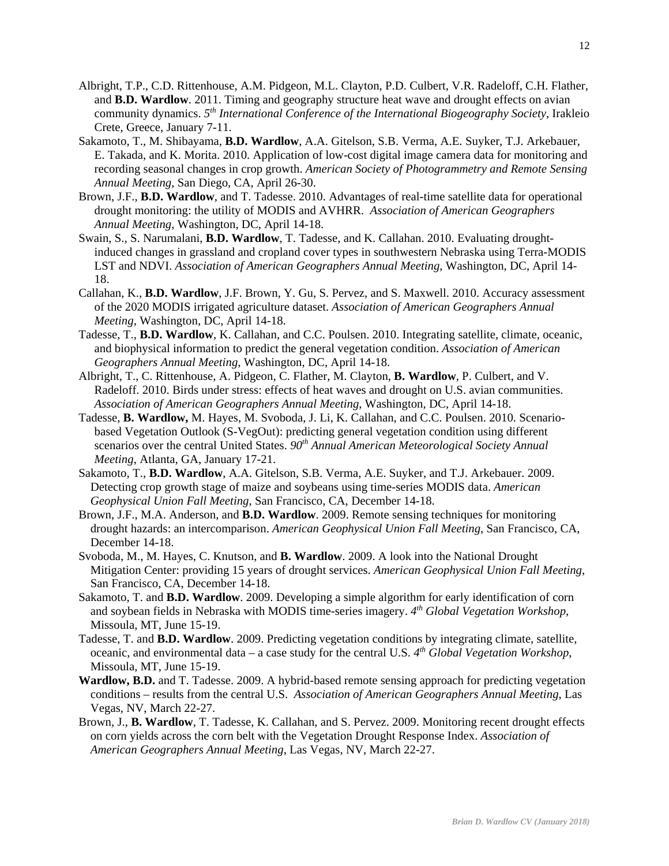- Albright, T.P., C.D. Rittenhouse, A.M. Pidgeon, M.L. Clayton, P.D. Culbert, V.R. Radeloff, C.H. Flather, and **B.D. Wardlow**. 2011. Timing and geography structure heat wave and drought effects on avian community dynamics. *5th International Conference of the International Biogeography Society*, Irakleio Crete, Greece, January 7-11.
- Sakamoto, T., M. Shibayama, **B.D. Wardlow**, A.A. Gitelson, S.B. Verma, A.E. Suyker, T.J. Arkebauer, E. Takada, and K. Morita. 2010. Application of low-cost digital image camera data for monitoring and recording seasonal changes in crop growth. *American Society of Photogrammetry and Remote Sensing Annual Meeting*, San Diego, CA, April 26-30.
- Brown, J.F., **B.D. Wardlow**, and T. Tadesse. 2010. Advantages of real-time satellite data for operational drought monitoring: the utility of MODIS and AVHRR. *Association of American Geographers Annual Meeting*, Washington, DC, April 14-18.
- Swain, S., S. Narumalani, **B.D. Wardlow**, T. Tadesse, and K. Callahan. 2010. Evaluating droughtinduced changes in grassland and cropland cover types in southwestern Nebraska using Terra-MODIS LST and NDVI. *Association of American Geographers Annual Meeting*, Washington, DC, April 14- 18.
- Callahan, K., **B.D. Wardlow**, J.F. Brown, Y. Gu, S. Pervez, and S. Maxwell. 2010. Accuracy assessment of the 2020 MODIS irrigated agriculture dataset. *Association of American Geographers Annual Meeting*, Washington, DC, April 14-18.
- Tadesse, T., **B.D. Wardlow**, K. Callahan, and C.C. Poulsen. 2010. Integrating satellite, climate, oceanic, and biophysical information to predict the general vegetation condition. *Association of American Geographers Annual Meeting*, Washington, DC, April 14-18.
- Albright, T., C. Rittenhouse, A. Pidgeon, C. Flather, M. Clayton, **B. Wardlow**, P. Culbert, and V. Radeloff. 2010. Birds under stress: effects of heat waves and drought on U.S. avian communities. *Association of American Geographers Annual Meeting*, Washington, DC, April 14-18.
- Tadesse, **B. Wardlow,** M. Hayes, M. Svoboda, J. Li, K. Callahan, and C.C. Poulsen. 2010. Scenariobased Vegetation Outlook (S-VegOut): predicting general vegetation condition using different scenarios over the central United States.  $90<sup>th</sup>$  Annual American Meteorological Society Annual *Meeting*, Atlanta, GA, January 17-21.
- Sakamoto, T., **B.D. Wardlow**, A.A. Gitelson, S.B. Verma, A.E. Suyker, and T.J. Arkebauer. 2009. Detecting crop growth stage of maize and soybeans using time-series MODIS data. *American Geophysical Union Fall Meeting*, San Francisco, CA, December 14-18.
- Brown, J.F., M.A. Anderson, and **B.D. Wardlow**. 2009. Remote sensing techniques for monitoring drought hazards: an intercomparison. *American Geophysical Union Fall Meeting*, San Francisco, CA, December 14-18.
- Svoboda, M., M. Hayes, C. Knutson, and **B. Wardlow**. 2009. A look into the National Drought Mitigation Center: providing 15 years of drought services. *American Geophysical Union Fall Meeting*, San Francisco, CA, December 14-18.
- Sakamoto, T. and **B.D. Wardlow**. 2009. Developing a simple algorithm for early identification of corn and soybean fields in Nebraska with MODIS time-series imagery. *4th Global Vegetation Workshop*, Missoula, MT, June 15-19.
- Tadesse, T. and **B.D. Wardlow**. 2009. Predicting vegetation conditions by integrating climate, satellite, oceanic, and environmental data – a case study for the central U.S. *4th Global Vegetation Workshop*, Missoula, MT, June 15-19.
- **Wardlow, B.D.** and T. Tadesse. 2009. A hybrid-based remote sensing approach for predicting vegetation conditions – results from the central U.S. *Association of American Geographers Annual Meeting*, Las Vegas, NV, March 22-27.
- Brown, J., **B. Wardlow**, T. Tadesse, K. Callahan, and S. Pervez. 2009. Monitoring recent drought effects on corn yields across the corn belt with the Vegetation Drought Response Index. *Association of American Geographers Annual Meeting*, Las Vegas, NV, March 22-27.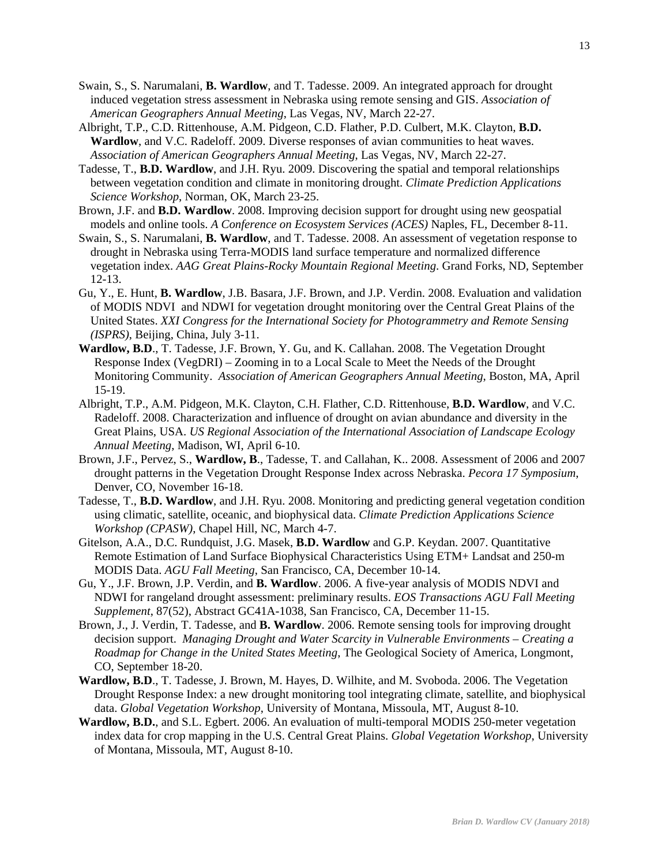- Swain, S., S. Narumalani, **B. Wardlow**, and T. Tadesse. 2009. An integrated approach for drought induced vegetation stress assessment in Nebraska using remote sensing and GIS. *Association of American Geographers Annual Meeting*, Las Vegas, NV, March 22-27.
- Albright, T.P., C.D. Rittenhouse, A.M. Pidgeon, C.D. Flather, P.D. Culbert, M.K. Clayton, **B.D. Wardlow**, and V.C. Radeloff. 2009. Diverse responses of avian communities to heat waves. *Association of American Geographers Annual Meeting*, Las Vegas, NV, March 22-27.
- Tadesse, T., **B.D. Wardlow**, and J.H. Ryu. 2009. Discovering the spatial and temporal relationships between vegetation condition and climate in monitoring drought. *Climate Prediction Applications Science Workshop*, Norman, OK, March 23-25.
- Brown, J.F. and **B.D. Wardlow**. 2008. Improving decision support for drought using new geospatial models and online tools. *A Conference on Ecosystem Services (ACES)* Naples, FL, December 8-11.
- Swain, S., S. Narumalani, **B. Wardlow**, and T. Tadesse. 2008. An assessment of vegetation response to drought in Nebraska using Terra-MODIS land surface temperature and normalized difference vegetation index. *AAG Great Plains-Rocky Mountain Regional Meeting*. Grand Forks, ND, September 12-13.
- Gu, Y., E. Hunt, **B. Wardlow**, J.B. Basara, J.F. Brown, and J.P. Verdin. 2008. Evaluation and validation of MODIS NDVI and NDWI for vegetation drought monitoring over the Central Great Plains of the United States. *XXI Congress for the International Society for Photogrammetry and Remote Sensing (ISPRS)*, Beijing, China, July 3-11.
- **Wardlow, B.D**., T. Tadesse, J.F. Brown, Y. Gu, and K. Callahan. 2008. The Vegetation Drought Response Index (VegDRI) – Zooming in to a Local Scale to Meet the Needs of the Drought Monitoring Community. *Association of American Geographers Annual Meeting*, Boston, MA, April 15-19.
- Albright, T.P., A.M. Pidgeon, M.K. Clayton, C.H. Flather, C.D. Rittenhouse, **B.D. Wardlow**, and V.C. Radeloff. 2008. Characterization and influence of drought on avian abundance and diversity in the Great Plains, USA. *US Regional Association of the International Association of Landscape Ecology Annual Meeting*, Madison, WI, April 6-10.
- Brown, J.F., Pervez, S., **Wardlow, B**., Tadesse, T. and Callahan, K.. 2008. Assessment of 2006 and 2007 drought patterns in the Vegetation Drought Response Index across Nebraska. *Pecora 17 Symposium*, Denver, CO, November 16-18.
- Tadesse, T., **B.D. Wardlow**, and J.H. Ryu. 2008. Monitoring and predicting general vegetation condition using climatic, satellite, oceanic, and biophysical data. *Climate Prediction Applications Science Workshop (CPASW)*, Chapel Hill, NC, March 4-7.
- Gitelson, A.A., D.C. Rundquist, J.G. Masek, **B.D. Wardlow** and G.P. Keydan. 2007. Quantitative Remote Estimation of Land Surface Biophysical Characteristics Using ETM+ Landsat and 250-m MODIS Data. *AGU Fall Meeting*, San Francisco, CA, December 10-14.
- Gu, Y., J.F. Brown, J.P. Verdin, and **B. Wardlow**. 2006. A five-year analysis of MODIS NDVI and NDWI for rangeland drought assessment: preliminary results. *EOS Transactions AGU Fall Meeting Supplement*, 87(52), Abstract GC41A-1038, San Francisco, CA, December 11-15.
- Brown, J., J. Verdin, T. Tadesse, and **B. Wardlow**. 2006. Remote sensing tools for improving drought decision support. *Managing Drought and Water Scarcity in Vulnerable Environments – Creating a Roadmap for Change in the United States Meeting*, The Geological Society of America, Longmont, CO, September 18-20.
- **Wardlow, B.D**., T. Tadesse, J. Brown, M. Hayes, D. Wilhite, and M. Svoboda. 2006. The Vegetation Drought Response Index: a new drought monitoring tool integrating climate, satellite, and biophysical data. *Global Vegetation Workshop*, University of Montana, Missoula, MT, August 8-10.
- **Wardlow, B.D.**, and S.L. Egbert. 2006. An evaluation of multi-temporal MODIS 250-meter vegetation index data for crop mapping in the U.S. Central Great Plains. *Global Vegetation Workshop*, University of Montana, Missoula, MT, August 8-10.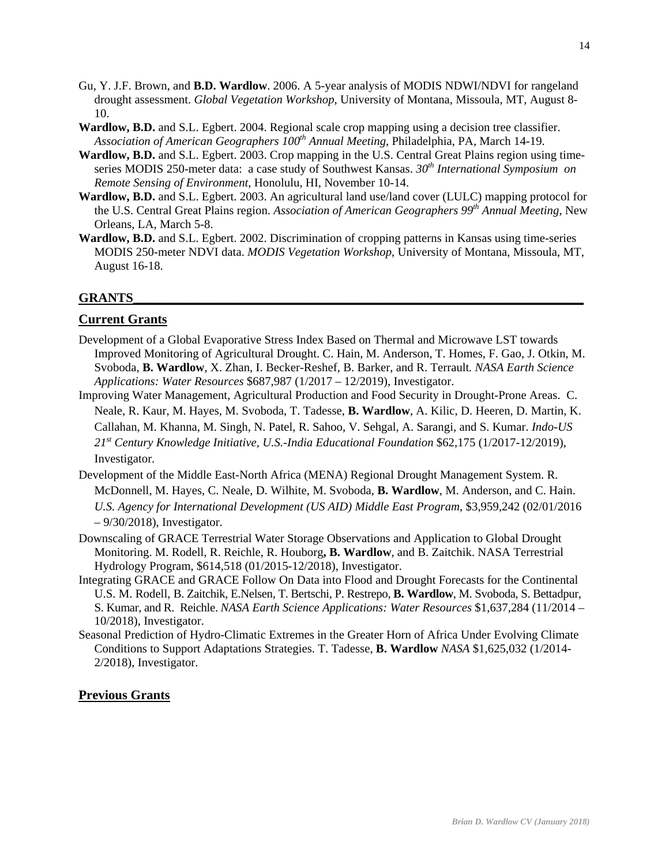- Gu, Y. J.F. Brown, and **B.D. Wardlow**. 2006. A 5-year analysis of MODIS NDWI/NDVI for rangeland drought assessment. *Global Vegetation Workshop*, University of Montana, Missoula, MT, August 8- 10.
- **Wardlow, B.D.** and S.L. Egbert. 2004. Regional scale crop mapping using a decision tree classifier. *Association of American Geographers 100th Annual Meeting*, Philadelphia, PA, March 14-19.
- **Wardlow, B.D.** and S.L. Egbert. 2003. Crop mapping in the U.S. Central Great Plains region using timeseries MODIS 250-meter data: a case study of Southwest Kansas. *30th International Symposium on Remote Sensing of Environment*, Honolulu, HI, November 10-14.
- **Wardlow, B.D.** and S.L. Egbert. 2003. An agricultural land use/land cover (LULC) mapping protocol for the U.S. Central Great Plains region. *Association of American Geographers 99th Annual Meeting*, New Orleans, LA, March 5-8.
- **Wardlow, B.D.** and S.L. Egbert. 2002. Discrimination of cropping patterns in Kansas using time-series MODIS 250-meter NDVI data. *MODIS Vegetation Workshop*, University of Montana, Missoula, MT, August 16-18.

## **GRANTS\_\_\_\_\_\_\_\_\_\_\_\_\_\_\_\_\_\_\_\_\_\_\_\_\_\_\_\_\_\_\_\_\_\_\_\_\_\_\_\_\_\_\_\_\_\_\_\_\_\_\_\_\_\_\_\_\_\_\_\_\_\_\_\_\_\_\_\_\_\_\_\_\_\_\_**

## **Current Grants**

- Development of a Global Evaporative Stress Index Based on Thermal and Microwave LST towards Improved Monitoring of Agricultural Drought. C. Hain, M. Anderson, T. Homes, F. Gao, J. Otkin, M. Svoboda, **B. Wardlow**, X. Zhan, I. Becker-Reshef, B. Barker, and R. Terrault*. NASA Earth Science Applications: Water Resources* \$687,987 (1/2017 – 12/2019), Investigator.
- Improving Water Management, Agricultural Production and Food Security in Drought-Prone Areas. C. Neale, R. Kaur, M. Hayes, M. Svoboda, T. Tadesse, **B. Wardlow**, A. Kilic, D. Heeren, D. Martin, K. Callahan, M. Khanna, M. Singh, N. Patel, R. Sahoo, V. Sehgal, A. Sarangi, and S. Kumar. *Indo-US 21st Century Knowledge Initiative, U.S.-India Educational Foundation* \$62,175 (1/2017-12/2019), Investigator.
- Development of the Middle East-North Africa (MENA) Regional Drought Management System. R. McDonnell, M. Hayes, C. Neale, D. Wilhite, M. Svoboda, **B. Wardlow**, M. Anderson, and C. Hain. *U.S. Agency for International Development (US AID) Middle East Program*, \$3,959,242 (02/01/2016 – 9/30/2018), Investigator.
- Downscaling of GRACE Terrestrial Water Storage Observations and Application to Global Drought Monitoring. M. Rodell, R. Reichle, R. Houborg**, B. Wardlow**, and B. Zaitchik. NASA Terrestrial Hydrology Program, \$614,518 (01/2015-12/2018), Investigator.
- Integrating GRACE and GRACE Follow On Data into Flood and Drought Forecasts for the Continental U.S. M. Rodell, B. Zaitchik, E.Nelsen, T. Bertschi, P. Restrepo, **B. Wardlow**, M. Svoboda, S. Bettadpur, S. Kumar, and R. Reichle. *NASA Earth Science Applications: Water Resources* \$1,637,284 (11/2014 – 10/2018), Investigator.
- Seasonal Prediction of Hydro-Climatic Extremes in the Greater Horn of Africa Under Evolving Climate Conditions to Support Adaptations Strategies. T. Tadesse, **B. Wardlow** *NASA* \$1,625,032 (1/2014- 2/2018), Investigator.

#### **Previous Grants**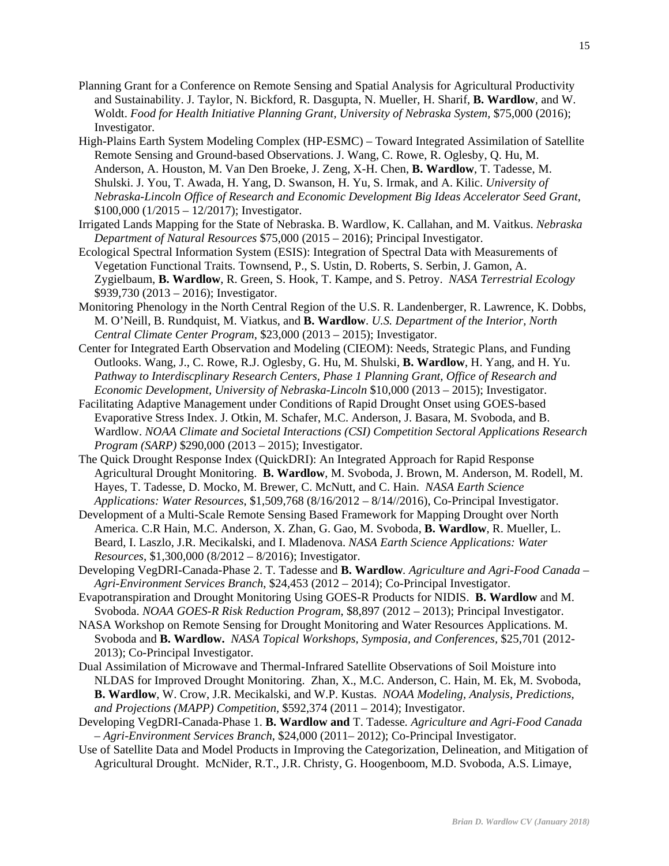- Planning Grant for a Conference on Remote Sensing and Spatial Analysis for Agricultural Productivity and Sustainability. J. Taylor, N. Bickford, R. Dasgupta, N. Mueller, H. Sharif, **B. Wardlow**, and W. Woldt. *Food for Health Initiative Planning Grant, University of Nebraska System,* \$75,000 (2016); Investigator.
- High-Plains Earth System Modeling Complex (HP-ESMC) Toward Integrated Assimilation of Satellite Remote Sensing and Ground-based Observations. J. Wang, C. Rowe, R. Oglesby, Q. Hu, M. Anderson, A. Houston, M. Van Den Broeke, J. Zeng, X-H. Chen, **B. Wardlow**, T. Tadesse, M. Shulski. J. You, T. Awada, H. Yang, D. Swanson, H. Yu, S. Irmak, and A. Kilic. *University of Nebraska-Lincoln Office of Research and Economic Development Big Ideas Accelerator Seed Grant*,  $$100,000 (1/2015 - 12/2017)$ ; Investigator.
- Irrigated Lands Mapping for the State of Nebraska. B. Wardlow, K. Callahan, and M. Vaitkus. *Nebraska Department of Natural Resources* \$75,000 (2015 – 2016); Principal Investigator.
- Ecological Spectral Information System (ESIS): Integration of Spectral Data with Measurements of Vegetation Functional Traits. Townsend, P., S. Ustin, D. Roberts, S. Serbin, J. Gamon, A. Zygielbaum, **B. Wardlow**, R. Green, S. Hook, T. Kampe, and S. Petroy. *NASA Terrestrial Ecology* \$939,730 (2013 – 2016); Investigator.
- Monitoring Phenology in the North Central Region of the U.S. R. Landenberger, R. Lawrence, K. Dobbs, M. O'Neill, B. Rundquist, M. Viatkus, and **B. Wardlow**. *U.S. Department of the Interior, North Central Climate Center Program*, \$23,000 (2013 – 2015); Investigator.
- Center for Integrated Earth Observation and Modeling (CIEOM): Needs, Strategic Plans, and Funding Outlooks. Wang, J., C. Rowe, R.J. Oglesby, G. Hu, M. Shulski, **B. Wardlow**, H. Yang, and H. Yu. *Pathway to Interdiscplinary Research Centers, Phase 1 Planning Grant, Office of Research and Economic Development, University of Nebraska-Lincoln* \$10,000 (2013 – 2015); Investigator.
- Facilitating Adaptive Management under Conditions of Rapid Drought Onset using GOES-based Evaporative Stress Index. J. Otkin, M. Schafer, M.C. Anderson, J. Basara, M. Svoboda, and B. Wardlow. *NOAA Climate and Societal Interactions (CSI) Competition Sectoral Applications Research Program (SARP)* \$290,000 (2013 – 2015); Investigator.
- The Quick Drought Response Index (QuickDRI): An Integrated Approach for Rapid Response Agricultural Drought Monitoring. **B. Wardlow**, M. Svoboda, J. Brown, M. Anderson, M. Rodell, M. Hayes, T. Tadesse, D. Mocko, M. Brewer, C. McNutt, and C. Hain. *NASA Earth Science Applications: Water Resources*, \$1,509,768 (8/16/2012 – 8/14//2016), Co-Principal Investigator.
- Development of a Multi-Scale Remote Sensing Based Framework for Mapping Drought over North America. C.R Hain, M.C. Anderson, X. Zhan, G. Gao, M. Svoboda, **B. Wardlow**, R. Mueller, L. Beard, I. Laszlo, J.R. Mecikalski, and I. Mladenova. *NASA Earth Science Applications: Water Resources*, \$1,300,000 (8/2012 – 8/2016); Investigator.
- Developing VegDRI-Canada-Phase 2. T. Tadesse and **B. Wardlow***. Agriculture and Agri-Food Canada Agri-Environment Services Branch*, \$24,453 (2012 – 2014); Co-Principal Investigator.
- Evapotranspiration and Drought Monitoring Using GOES-R Products for NIDIS. **B. Wardlow** and M. Svoboda. *NOAA GOES-R Risk Reduction Program*, \$8,897 (2012 – 2013); Principal Investigator.
- NASA Workshop on Remote Sensing for Drought Monitoring and Water Resources Applications. M. Svoboda and **B. Wardlow.** *NASA Topical Workshops, Symposia, and Conferences,* \$25,701 (2012- 2013); Co-Principal Investigator.
- Dual Assimilation of Microwave and Thermal-Infrared Satellite Observations of Soil Moisture into NLDAS for Improved Drought Monitoring. Zhan, X., M.C. Anderson, C. Hain, M. Ek, M. Svoboda, **B. Wardlow**, W. Crow, J.R. Mecikalski, and W.P. Kustas. *NOAA Modeling, Analysis, Predictions, and Projections (MAPP) Competition,* \$592,374 (2011 – 2014); Investigator.
- Developing VegDRI-Canada-Phase 1. **B. Wardlow and** T. Tadesse*. Agriculture and Agri-Food Canada – Agri-Environment Services Branch*, \$24,000 (2011– 2012); Co-Principal Investigator.
- Use of Satellite Data and Model Products in Improving the Categorization, Delineation, and Mitigation of Agricultural Drought. McNider, R.T., J.R. Christy, G. Hoogenboom, M.D. Svoboda, A.S. Limaye,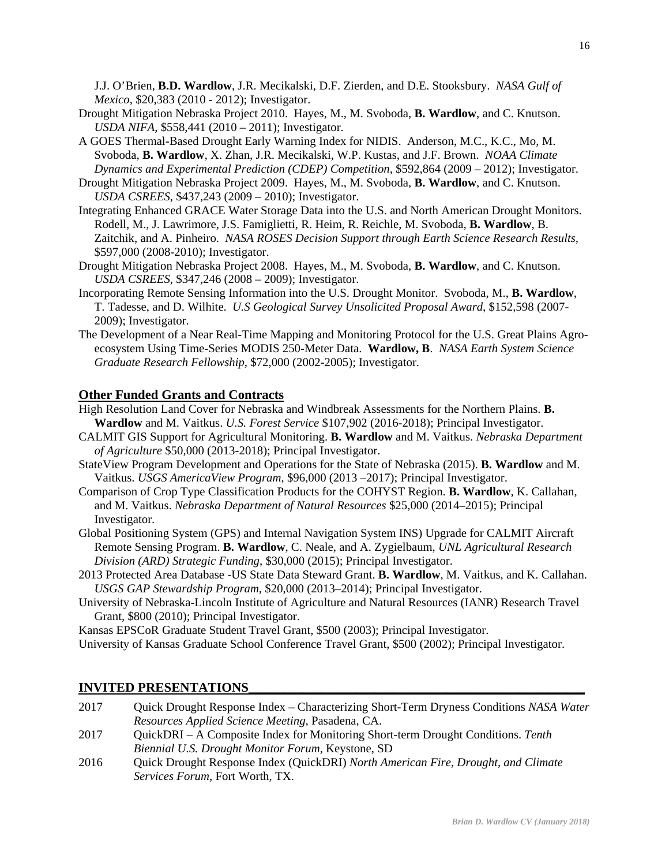J.J. O'Brien, **B.D. Wardlow**, J.R. Mecikalski, D.F. Zierden, and D.E. Stooksbury. *NASA Gulf of Mexico*, \$20,383 (2010 - 2012); Investigator.

- Drought Mitigation Nebraska Project 2010. Hayes, M., M. Svoboda, **B. Wardlow**, and C. Knutson. *USDA NIFA*, \$558,441 (2010 – 2011); Investigator.
- A GOES Thermal-Based Drought Early Warning Index for NIDIS. Anderson, M.C., K.C., Mo, M. Svoboda, **B. Wardlow**, X. Zhan, J.R. Mecikalski, W.P. Kustas, and J.F. Brown. *NOAA Climate Dynamics and Experimental Prediction (CDEP) Competition*, \$592,864 (2009 – 2012); Investigator.
- Drought Mitigation Nebraska Project 2009. Hayes, M., M. Svoboda, **B. Wardlow**, and C. Knutson. *USDA CSREES*, \$437,243 (2009 – 2010); Investigator.
- Integrating Enhanced GRACE Water Storage Data into the U.S. and North American Drought Monitors. Rodell, M., J. Lawrimore, J.S. Famiglietti, R. Heim, R. Reichle, M. Svoboda, **B. Wardlow**, B. Zaitchik, and A. Pinheiro. *NASA ROSES Decision Support through Earth Science Research Results,* \$597,000 (2008-2010); Investigator.
- Drought Mitigation Nebraska Project 2008. Hayes, M., M. Svoboda, **B. Wardlow**, and C. Knutson. *USDA CSREES*, \$347,246 (2008 – 2009); Investigator.
- Incorporating Remote Sensing Information into the U.S. Drought Monitor. Svoboda, M., **B. Wardlow**, T. Tadesse, and D. Wilhite. *U.S Geological Survey Unsolicited Proposal Award*, \$152,598 (2007- 2009); Investigator.
- The Development of a Near Real-Time Mapping and Monitoring Protocol for the U.S. Great Plains Agroecosystem Using Time-Series MODIS 250-Meter Data. **Wardlow, B**. *NASA Earth System Science Graduate Research Fellowship*, \$72,000 (2002-2005); Investigator.

## **Other Funded Grants and Contracts**

High Resolution Land Cover for Nebraska and Windbreak Assessments for the Northern Plains. **B. Wardlow** and M. Vaitkus. *U.S. Forest Service* \$107,902 (2016-2018); Principal Investigator.

- CALMIT GIS Support for Agricultural Monitoring. **B. Wardlow** and M. Vaitkus. *Nebraska Department of Agriculture* \$50,000 (2013-2018); Principal Investigator.
- StateView Program Development and Operations for the State of Nebraska (2015). **B. Wardlow** and M. Vaitkus. *USGS AmericaView Program*, \$96,000 (2013 –2017); Principal Investigator.
- Comparison of Crop Type Classification Products for the COHYST Region. **B. Wardlow**, K. Callahan, and M. Vaitkus. *Nebraska Department of Natural Resources* \$25,000 (2014–2015); Principal Investigator.
- Global Positioning System (GPS) and Internal Navigation System INS) Upgrade for CALMIT Aircraft Remote Sensing Program. **B. Wardlow**, C. Neale, and A. Zygielbaum, *UNL Agricultural Research Division (ARD) Strategic Funding*, \$30,000 (2015); Principal Investigator.
- 2013 Protected Area Database -US State Data Steward Grant. **B. Wardlow**, M. Vaitkus, and K. Callahan. *USGS GAP Stewardship Program*, \$20,000 (2013–2014); Principal Investigator.
- University of Nebraska-Lincoln Institute of Agriculture and Natural Resources (IANR) Research Travel Grant, \$800 (2010); Principal Investigator.

Kansas EPSCoR Graduate Student Travel Grant, \$500 (2003); Principal Investigator.

University of Kansas Graduate School Conference Travel Grant, \$500 (2002); Principal Investigator.

## **INVITED PRESENTATIONS\_\_\_\_\_\_\_\_\_\_\_\_\_\_\_\_\_\_\_\_\_\_\_\_\_\_\_\_\_\_\_\_\_\_\_\_\_\_\_\_\_\_\_\_\_\_\_\_\_\_\_\_\_\_\_\_**

| 2017 | Quick Drought Response Index – Characterizing Short-Term Dryness Conditions NASA Water |
|------|----------------------------------------------------------------------------------------|
|      | Resources Applied Science Meeting, Pasadena, CA.                                       |
| 2017 | QuickDRI – A Composite Index for Monitoring Short-term Drought Conditions. Tenth       |
|      | <i>Biennial U.S. Drought Monitor Forum, Keystone, SD</i>                               |
| 2016 | Quick Drought Response Index (QuickDRI) North American Fire, Drought, and Climate      |
|      | Services Forum, Fort Worth, TX.                                                        |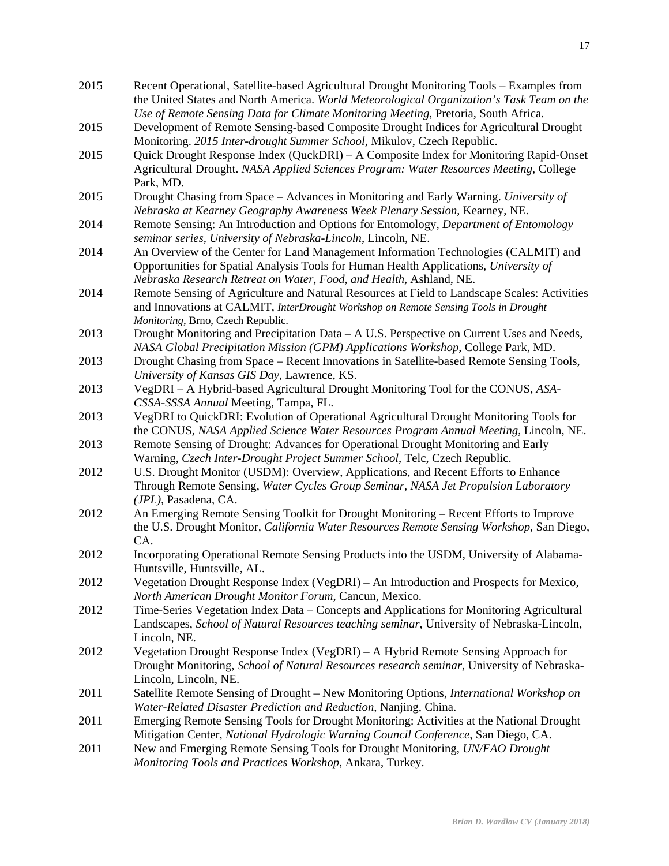| 2015 | Recent Operational, Satellite-based Agricultural Drought Monitoring Tools - Examples from<br>the United States and North America. World Meteorological Organization's Task Team on the |
|------|----------------------------------------------------------------------------------------------------------------------------------------------------------------------------------------|
|      | Use of Remote Sensing Data for Climate Monitoring Meeting, Pretoria, South Africa.                                                                                                     |
| 2015 | Development of Remote Sensing-based Composite Drought Indices for Agricultural Drought<br>Monitoring. 2015 Inter-drought Summer School, Mikulov, Czech Republic.                       |
| 2015 | Quick Drought Response Index (QuckDRI) – A Composite Index for Monitoring Rapid-Onset                                                                                                  |
|      | Agricultural Drought. NASA Applied Sciences Program: Water Resources Meeting, College<br>Park, MD.                                                                                     |
| 2015 | Drought Chasing from Space – Advances in Monitoring and Early Warning. University of<br>Nebraska at Kearney Geography Awareness Week Plenary Session, Kearney, NE.                     |
| 2014 | Remote Sensing: An Introduction and Options for Entomology, Department of Entomology<br>seminar series, University of Nebraska-Lincoln, Lincoln, NE.                                   |
| 2014 | An Overview of the Center for Land Management Information Technologies (CALMIT) and                                                                                                    |
|      | Opportunities for Spatial Analysis Tools for Human Health Applications, University of<br>Nebraska Research Retreat on Water, Food, and Health, Ashland, NE.                            |
| 2014 | Remote Sensing of Agriculture and Natural Resources at Field to Landscape Scales: Activities                                                                                           |
|      | and Innovations at CALMIT, InterDrought Workshop on Remote Sensing Tools in Drought                                                                                                    |
| 2013 | Monitoring, Brno, Czech Republic.<br>Drought Monitoring and Precipitation Data – A U.S. Perspective on Current Uses and Needs,                                                         |
|      | NASA Global Precipitation Mission (GPM) Applications Workshop, College Park, MD.                                                                                                       |
| 2013 | Drought Chasing from Space - Recent Innovations in Satellite-based Remote Sensing Tools,                                                                                               |
|      | University of Kansas GIS Day, Lawrence, KS.                                                                                                                                            |
| 2013 | VegDRI - A Hybrid-based Agricultural Drought Monitoring Tool for the CONUS, ASA-                                                                                                       |
|      | CSSA-SSSA Annual Meeting, Tampa, FL.                                                                                                                                                   |
| 2013 | VegDRI to QuickDRI: Evolution of Operational Agricultural Drought Monitoring Tools for                                                                                                 |
| 2013 | the CONUS, NASA Applied Science Water Resources Program Annual Meeting, Lincoln, NE.<br>Remote Sensing of Drought: Advances for Operational Drought Monitoring and Early               |
|      | Warning, Czech Inter-Drought Project Summer School, Telc, Czech Republic.                                                                                                              |
| 2012 | U.S. Drought Monitor (USDM): Overview, Applications, and Recent Efforts to Enhance                                                                                                     |
|      | Through Remote Sensing, Water Cycles Group Seminar, NASA Jet Propulsion Laboratory                                                                                                     |
|      | (JPL), Pasadena, CA.                                                                                                                                                                   |
| 2012 | An Emerging Remote Sensing Toolkit for Drought Monitoring – Recent Efforts to Improve<br>the U.S. Drought Monitor, California Water Resources Remote Sensing Workshop, San Diego,      |
|      | CA.                                                                                                                                                                                    |
| 2012 | Incorporating Operational Remote Sensing Products into the USDM, University of Alabama-<br>Huntsville, Huntsville, AL                                                                  |
| 2012 | Vegetation Drought Response Index (VegDRI) – An Introduction and Prospects for Mexico,                                                                                                 |
| 2012 | North American Drought Monitor Forum, Cancun, Mexico.<br>Time-Series Vegetation Index Data – Concepts and Applications for Monitoring Agricultural                                     |
|      | Landscapes, School of Natural Resources teaching seminar, University of Nebraska-Lincoln,<br>Lincoln, NE.                                                                              |
| 2012 | Vegetation Drought Response Index (VegDRI) – A Hybrid Remote Sensing Approach for                                                                                                      |
|      | Drought Monitoring, School of Natural Resources research seminar, University of Nebraska-                                                                                              |
|      | Lincoln, Lincoln, NE.                                                                                                                                                                  |
| 2011 | Satellite Remote Sensing of Drought - New Monitoring Options, International Workshop on                                                                                                |
|      | Water-Related Disaster Prediction and Reduction, Nanjing, China.                                                                                                                       |
| 2011 | Emerging Remote Sensing Tools for Drought Monitoring: Activities at the National Drought                                                                                               |
|      | Mitigation Center, National Hydrologic Warning Council Conference, San Diego, CA.                                                                                                      |
| 2011 | New and Emerging Remote Sensing Tools for Drought Monitoring, UN/FAO Drought<br>Monitoring Tools and Practices Workshop, Ankara, Turkey.                                               |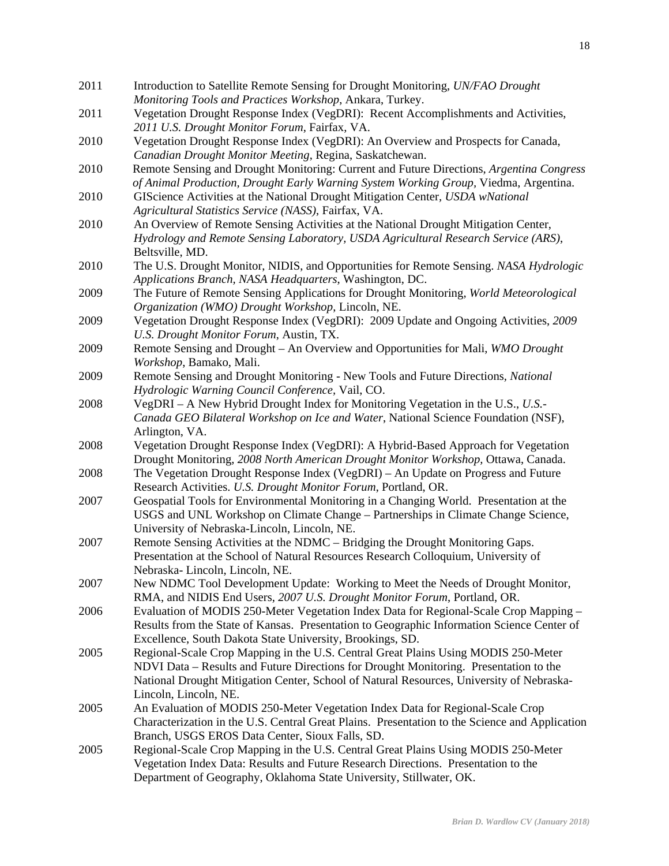2011 Introduction to Satellite Remote Sensing for Drought Monitoring, *UN/FAO Drought Monitoring Tools and Practices Workshop*, Ankara, Turkey. 2011 Vegetation Drought Response Index (VegDRI): Recent Accomplishments and Activities, *2011 U.S. Drought Monitor Forum*, Fairfax, VA. 2010 Vegetation Drought Response Index (VegDRI): An Overview and Prospects for Canada, *Canadian Drought Monitor Meeting*, Regina, Saskatchewan. 2010 Remote Sensing and Drought Monitoring: Current and Future Directions, *Argentina Congress of Animal Production, Drought Early Warning System Working Group,* Viedma, Argentina. 2010 GIScience Activities at the National Drought Mitigation Center*, USDA wNational Agricultural Statistics Service (NASS)*, Fairfax, VA. 2010 An Overview of Remote Sensing Activities at the National Drought Mitigation Center, *Hydrology and Remote Sensing Laboratory, USDA Agricultural Research Service (ARS)*, Beltsville, MD. 2010 The U.S. Drought Monitor, NIDIS, and Opportunities for Remote Sensing. *NASA Hydrologic Applications Branch, NASA Headquarters*, Washington, DC. 2009 The Future of Remote Sensing Applications for Drought Monitoring, *World Meteorological Organization (WMO) Drought Workshop*, Lincoln, NE. 2009 Vegetation Drought Response Index (VegDRI): 2009 Update and Ongoing Activities, *2009 U.S. Drought Monitor Forum*, Austin, TX. 2009 Remote Sensing and Drought – An Overview and Opportunities for Mali, *WMO Drought Workshop*, Bamako, Mali. 2009 Remote Sensing and Drought Monitoring - New Tools and Future Directions*, National Hydrologic Warning Council Conference,* Vail, CO. 2008 VegDRI – A New Hybrid Drought Index for Monitoring Vegetation in the U.S., *U.S.- Canada GEO Bilateral Workshop on Ice and Water*, National Science Foundation (NSF), Arlington, VA. 2008 Vegetation Drought Response Index (VegDRI): A Hybrid-Based Approach for Vegetation Drought Monitoring, *2008 North American Drought Monitor Workshop,* Ottawa, Canada. 2008 The Vegetation Drought Response Index (VegDRI) – An Update on Progress and Future Research Activities. *U.S. Drought Monitor Forum*, Portland, OR. 2007 Geospatial Tools for Environmental Monitoring in a Changing World. Presentation at the USGS and UNL Workshop on Climate Change – Partnerships in Climate Change Science, University of Nebraska-Lincoln, Lincoln, NE. 2007 Remote Sensing Activities at the NDMC – Bridging the Drought Monitoring Gaps. Presentation at the School of Natural Resources Research Colloquium, University of Nebraska- Lincoln, Lincoln, NE. 2007 New NDMC Tool Development Update: Working to Meet the Needs of Drought Monitor, RMA, and NIDIS End Users, *2007 U.S. Drought Monitor Forum*, Portland, OR. 2006 Evaluation of MODIS 250-Meter Vegetation Index Data for Regional-Scale Crop Mapping – Results from the State of Kansas. Presentation to Geographic Information Science Center of Excellence, South Dakota State University, Brookings, SD. 2005 Regional-Scale Crop Mapping in the U.S. Central Great Plains Using MODIS 250-Meter NDVI Data – Results and Future Directions for Drought Monitoring. Presentation to the National Drought Mitigation Center, School of Natural Resources, University of Nebraska-Lincoln, Lincoln, NE. 2005 An Evaluation of MODIS 250-Meter Vegetation Index Data for Regional-Scale Crop Characterization in the U.S. Central Great Plains. Presentation to the Science and Application Branch, USGS EROS Data Center, Sioux Falls, SD. 2005 Regional-Scale Crop Mapping in the U.S. Central Great Plains Using MODIS 250-Meter Vegetation Index Data: Results and Future Research Directions. Presentation to the Department of Geography, Oklahoma State University, Stillwater, OK.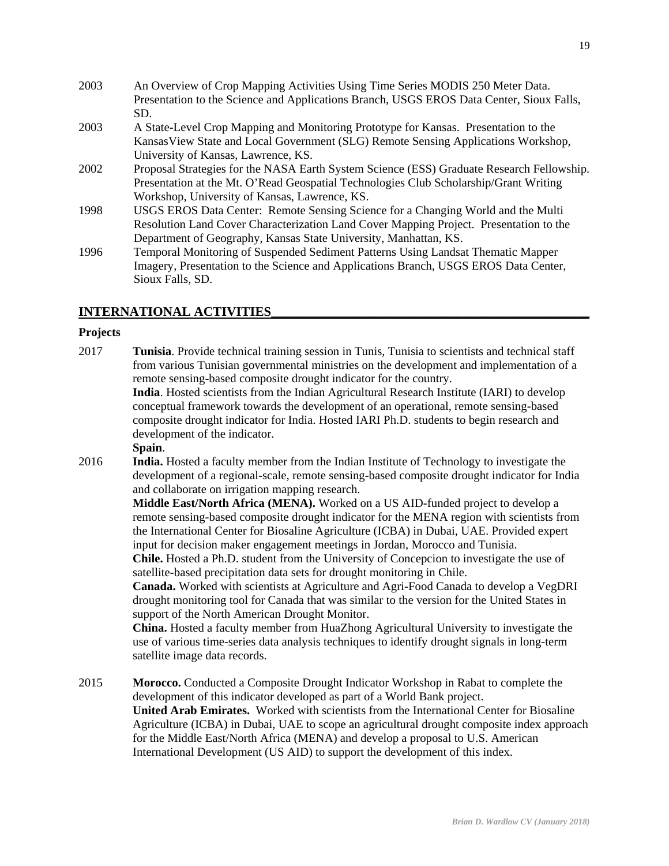- 2003 An Overview of Crop Mapping Activities Using Time Series MODIS 250 Meter Data. Presentation to the Science and Applications Branch, USGS EROS Data Center, Sioux Falls, SD. 2003 A State-Level Crop Mapping and Monitoring Prototype for Kansas. Presentation to the KansasView State and Local Government (SLG) Remote Sensing Applications Workshop, University of Kansas, Lawrence, KS. 2002 Proposal Strategies for the NASA Earth System Science (ESS) Graduate Research Fellowship. Presentation at the Mt. O'Read Geospatial Technologies Club Scholarship/Grant Writing Workshop, University of Kansas, Lawrence, KS. 1998 USGS EROS Data Center: Remote Sensing Science for a Changing World and the Multi Resolution Land Cover Characterization Land Cover Mapping Project. Presentation to the
- Department of Geography, Kansas State University, Manhattan, KS. 1996 Temporal Monitoring of Suspended Sediment Patterns Using Landsat Thematic Mapper Imagery, Presentation to the Science and Applications Branch, USGS EROS Data Center, Sioux Falls, SD.

# **INTERNATIONAL ACTIVITIES\_\_\_\_\_\_\_\_\_\_\_\_\_\_\_\_\_\_\_\_\_\_\_\_\_\_\_\_\_\_\_\_\_\_\_\_\_\_\_\_\_\_\_\_\_\_\_\_\_\_\_\_\_**

#### **Projects**

2017 **Tunisia**. Provide technical training session in Tunis, Tunisia to scientists and technical staff from various Tunisian governmental ministries on the development and implementation of a remote sensing-based composite drought indicator for the country. **India**. Hosted scientists from the Indian Agricultural Research Institute (IARI) to develop conceptual framework towards the development of an operational, remote sensing-based composite drought indicator for India. Hosted IARI Ph.D. students to begin research and

development of the indicator.

#### **Spain**.

2016 **India.** Hosted a faculty member from the Indian Institute of Technology to investigate the development of a regional-scale, remote sensing-based composite drought indicator for India and collaborate on irrigation mapping research.

> **Middle East/North Africa (MENA).** Worked on a US AID-funded project to develop a remote sensing-based composite drought indicator for the MENA region with scientists from the International Center for Biosaline Agriculture (ICBA) in Dubai, UAE. Provided expert input for decision maker engagement meetings in Jordan, Morocco and Tunisia.

 **Chile.** Hosted a Ph.D. student from the University of Concepcion to investigate the use of satellite-based precipitation data sets for drought monitoring in Chile.

 **Canada.** Worked with scientists at Agriculture and Agri-Food Canada to develop a VegDRI drought monitoring tool for Canada that was similar to the version for the United States in support of the North American Drought Monitor.

**China.** Hosted a faculty member from HuaZhong Agricultural University to investigate the use of various time-series data analysis techniques to identify drought signals in long-term satellite image data records.

2015 **Morocco.** Conducted a Composite Drought Indicator Workshop in Rabat to complete the development of this indicator developed as part of a World Bank project. **United Arab Emirates.** Worked with scientists from the International Center for Biosaline Agriculture (ICBA) in Dubai, UAE to scope an agricultural drought composite index approach for the Middle East/North Africa (MENA) and develop a proposal to U.S. American International Development (US AID) to support the development of this index.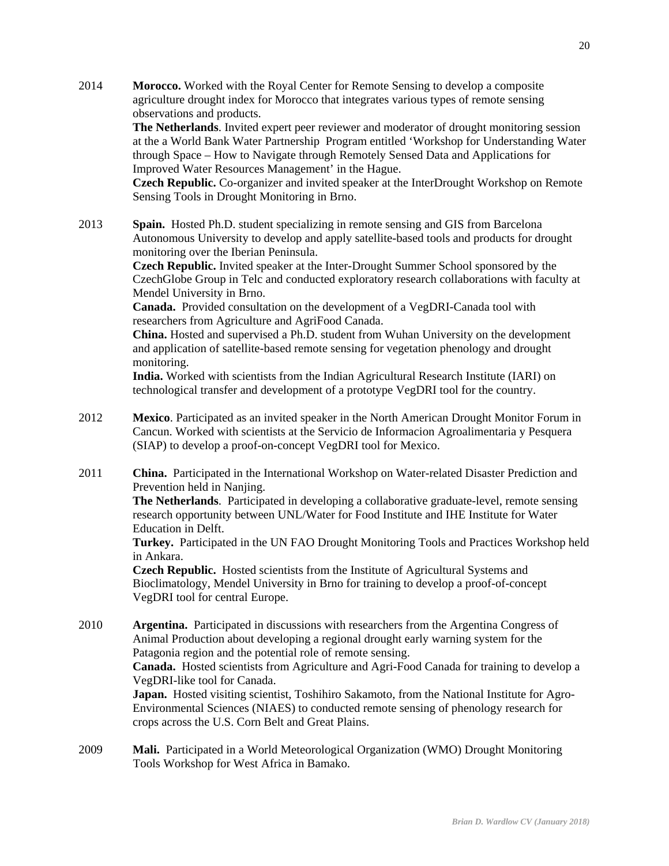2014 **Morocco.** Worked with the Royal Center for Remote Sensing to develop a composite agriculture drought index for Morocco that integrates various types of remote sensing observations and products.

> **The Netherlands**. Invited expert peer reviewer and moderator of drought monitoring session at the a World Bank Water Partnership Program entitled 'Workshop for Understanding Water through Space – How to Navigate through Remotely Sensed Data and Applications for Improved Water Resources Management' in the Hague.

> **Czech Republic.** Co-organizer and invited speaker at the InterDrought Workshop on Remote Sensing Tools in Drought Monitoring in Brno.

2013 **Spain.** Hosted Ph.D. student specializing in remote sensing and GIS from Barcelona Autonomous University to develop and apply satellite-based tools and products for drought monitoring over the Iberian Peninsula.

> **Czech Republic.** Invited speaker at the Inter-Drought Summer School sponsored by the CzechGlobe Group in Telc and conducted exploratory research collaborations with faculty at Mendel University in Brno.

 **Canada.** Provided consultation on the development of a VegDRI-Canada tool with researchers from Agriculture and AgriFood Canada.

 **China.** Hosted and supervised a Ph.D. student from Wuhan University on the development and application of satellite-based remote sensing for vegetation phenology and drought monitoring.

 **India.** Worked with scientists from the Indian Agricultural Research Institute (IARI) on technological transfer and development of a prototype VegDRI tool for the country.

- 2012 **Mexico**. Participated as an invited speaker in the North American Drought Monitor Forum in Cancun. Worked with scientists at the Servicio de Informacion Agroalimentaria y Pesquera (SIAP) to develop a proof-on-concept VegDRI tool for Mexico.
- 2011 **China.** Participated in the International Workshop on Water-related Disaster Prediction and Prevention held in Nanjing.

**The Netherlands**. Participated in developing a collaborative graduate-level, remote sensing research opportunity between UNL/Water for Food Institute and IHE Institute for Water Education in Delft.

**Turkey.** Participated in the UN FAO Drought Monitoring Tools and Practices Workshop held in Ankara.

**Czech Republic.** Hosted scientists from the Institute of Agricultural Systems and Bioclimatology, Mendel University in Brno for training to develop a proof-of-concept VegDRI tool for central Europe.

2010 **Argentina.** Participated in discussions with researchers from the Argentina Congress of Animal Production about developing a regional drought early warning system for the Patagonia region and the potential role of remote sensing.

> **Canada.** Hosted scientists from Agriculture and Agri-Food Canada for training to develop a VegDRI-like tool for Canada.

**Japan.** Hosted visiting scientist, Toshihiro Sakamoto, from the National Institute for Agro-Environmental Sciences (NIAES) to conducted remote sensing of phenology research for crops across the U.S. Corn Belt and Great Plains.

2009 **Mali.** Participated in a World Meteorological Organization (WMO) Drought Monitoring Tools Workshop for West Africa in Bamako.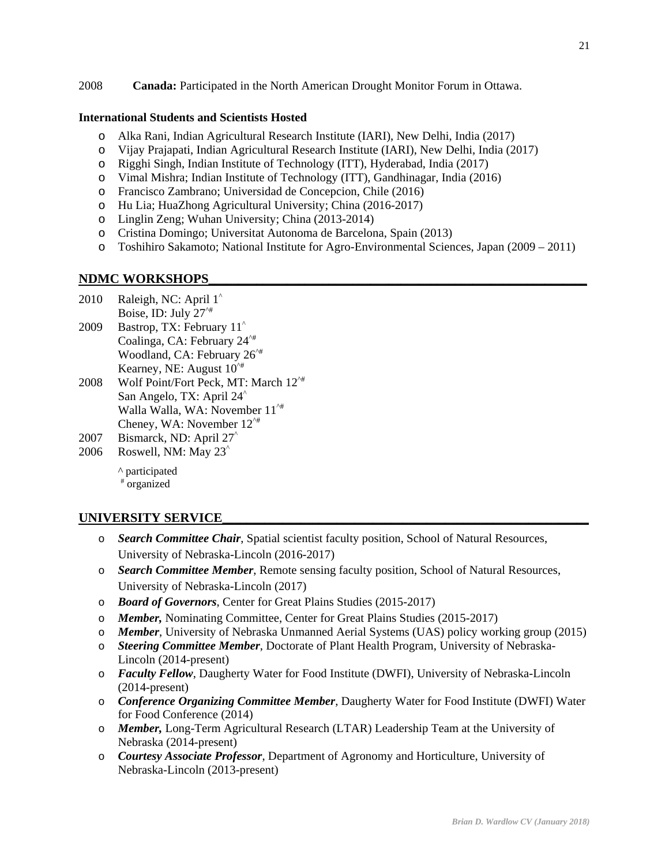2008 **Canada:** Participated in the North American Drought Monitor Forum in Ottawa.

### **International Students and Scientists Hosted**

- o Alka Rani, Indian Agricultural Research Institute (IARI), New Delhi, India (2017)
- o Vijay Prajapati, Indian Agricultural Research Institute (IARI), New Delhi, India (2017)
- o Rigghi Singh, Indian Institute of Technology (ITT), Hyderabad, India (2017)
- o Vimal Mishra; Indian Institute of Technology (ITT), Gandhinagar, India (2016)
- o Francisco Zambrano; Universidad de Concepcion, Chile (2016)
- o Hu Lia; HuaZhong Agricultural University; China (2016-2017)
- o Linglin Zeng; Wuhan University; China (2013-2014)
- o Cristina Domingo; Universitat Autonoma de Barcelona, Spain (2013)
- o Toshihiro Sakamoto; National Institute for Agro-Environmental Sciences, Japan (2009 2011)

# NDMC WORKSHOPS

- 2010 Raleigh, NC: April 1<sup>^</sup> Boise, ID: July  $27^{\prime\prime\prime}$
- 2009 Bastrop, TX: February 11^ Coalinga, CA: February 24^# Woodland, CA: February 26^# Kearney, NE: August  $10^{4}$
- 2008 Wolf Point/Fort Peck, MT: March  $12^{4}$  San Angelo, TX: April 24^ Walla Walla, WA: November  $11^{\prime\#}$ Cheney, WA: November 12^#
- 2007 Bismarck, ND: April 27^
- 2006 Roswell, NM: May 23^

^ participated # organized

# UNIVERSITY SERVICE

- o *Search Committee Chair*, Spatial scientist faculty position, School of Natural Resources, University of Nebraska-Lincoln (2016-2017)
- o *Search Committee Member*, Remote sensing faculty position, School of Natural Resources, University of Nebraska-Lincoln (2017)
- o *Board of Governors*, Center for Great Plains Studies (2015-2017)
- o *Member,* Nominating Committee, Center for Great Plains Studies (2015-2017)
- o *Member*, University of Nebraska Unmanned Aerial Systems (UAS) policy working group (2015)
- o *Steering Committee Member*, Doctorate of Plant Health Program, University of Nebraska-Lincoln (2014-present)
- o *Faculty Fellow*, Daugherty Water for Food Institute (DWFI), University of Nebraska-Lincoln (2014-present)
- o *Conference Organizing Committee Member*, Daugherty Water for Food Institute (DWFI) Water for Food Conference (2014)
- o *Member,* Long-Term Agricultural Research (LTAR) Leadership Team at the University of Nebraska (2014-present)
- o *Courtesy Associate Professor*, Department of Agronomy and Horticulture, University of Nebraska-Lincoln (2013-present)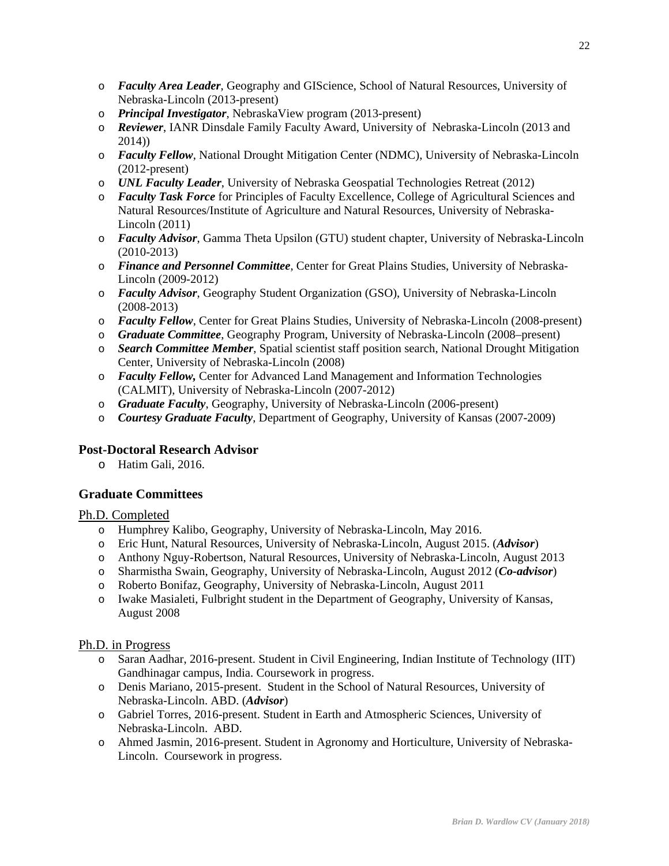- o *Faculty Area Leader*, Geography and GIScience, School of Natural Resources, University of Nebraska-Lincoln (2013-present)
- o *Principal Investigator*, NebraskaView program (2013-present)
- o *Reviewer*, IANR Dinsdale Family Faculty Award, University of Nebraska-Lincoln (2013 and 2014))
- o *Faculty Fellow*, National Drought Mitigation Center (NDMC), University of Nebraska-Lincoln (2012-present)
- o *UNL Faculty Leader*, University of Nebraska Geospatial Technologies Retreat (2012)
- o *Faculty Task Force* for Principles of Faculty Excellence, College of Agricultural Sciences and Natural Resources/Institute of Agriculture and Natural Resources, University of Nebraska-Lincoln (2011)
- o *Faculty Advisor*, Gamma Theta Upsilon (GTU) student chapter, University of Nebraska-Lincoln (2010-2013)
- o *Finance and Personnel Committee*, Center for Great Plains Studies, University of Nebraska-Lincoln (2009-2012)
- o *Faculty Advisor*, Geography Student Organization (GSO), University of Nebraska-Lincoln (2008-2013)
- o *Faculty Fellow*, Center for Great Plains Studies, University of Nebraska-Lincoln (2008-present)
- o *Graduate Committee*, Geography Program, University of Nebraska-Lincoln (2008–present)
- o *Search Committee Member*, Spatial scientist staff position search, National Drought Mitigation Center, University of Nebraska-Lincoln (2008)
- o *Faculty Fellow,* Center for Advanced Land Management and Information Technologies (CALMIT), University of Nebraska-Lincoln (2007-2012)
- o *Graduate Faculty*, Geography, University of Nebraska-Lincoln (2006-present)
- o *Courtesy Graduate Faculty*, Department of Geography, University of Kansas (2007-2009)

# **Post-Doctoral Research Advisor**

o Hatim Gali, 2016.

# **Graduate Committees**

# Ph.D. Completed

- o Humphrey Kalibo, Geography, University of Nebraska-Lincoln, May 2016.
- o Eric Hunt, Natural Resources, University of Nebraska-Lincoln, August 2015. (*Advisor*)
- o Anthony Nguy-Robertson, Natural Resources, University of Nebraska-Lincoln, August 2013
- o Sharmistha Swain, Geography, University of Nebraska-Lincoln, August 2012 (*Co-advisor*)
- o Roberto Bonifaz, Geography, University of Nebraska-Lincoln, August 2011
- o Iwake Masialeti, Fulbright student in the Department of Geography, University of Kansas, August 2008

# Ph.D. in Progress

- o Saran Aadhar, 2016-present. Student in Civil Engineering, Indian Institute of Technology (IIT) Gandhinagar campus, India. Coursework in progress.
- o Denis Mariano, 2015-present. Student in the School of Natural Resources, University of Nebraska-Lincoln. ABD. (*Advisor*)
- o Gabriel Torres, 2016-present. Student in Earth and Atmospheric Sciences, University of Nebraska-Lincoln. ABD.
- o Ahmed Jasmin, 2016-present. Student in Agronomy and Horticulture, University of Nebraska-Lincoln. Coursework in progress.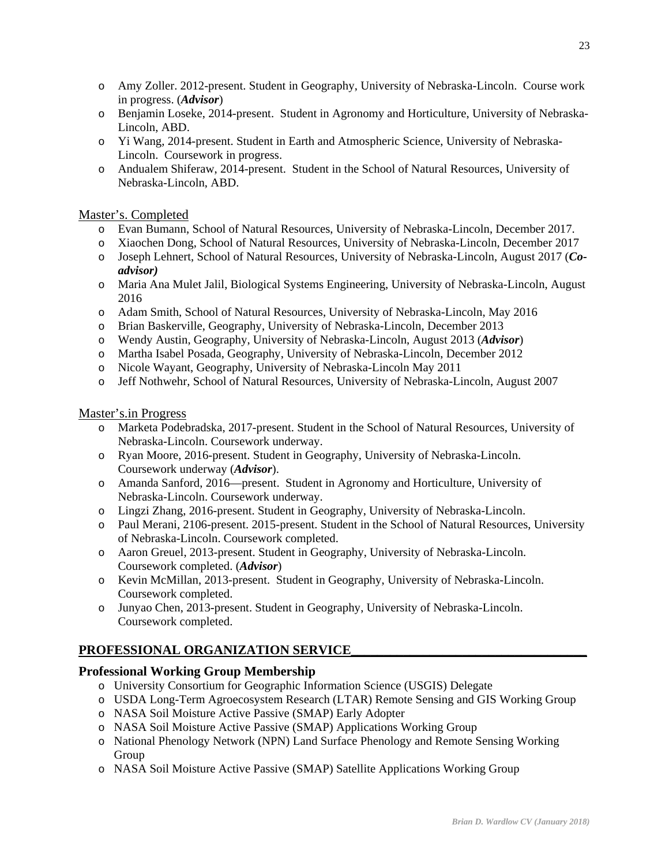- o Amy Zoller. 2012-present. Student in Geography, University of Nebraska-Lincoln. Course work in progress. (*Advisor*)
- o Benjamin Loseke, 2014-present. Student in Agronomy and Horticulture, University of Nebraska-Lincoln, ABD.
- o Yi Wang, 2014-present. Student in Earth and Atmospheric Science, University of Nebraska-Lincoln. Coursework in progress.
- o Andualem Shiferaw, 2014-present. Student in the School of Natural Resources, University of Nebraska-Lincoln, ABD.

# Master's. Completed

- o Evan Bumann, School of Natural Resources, University of Nebraska-Lincoln, December 2017.
- o Xiaochen Dong, School of Natural Resources, University of Nebraska-Lincoln, December 2017
- o Joseph Lehnert, School of Natural Resources, University of Nebraska-Lincoln, August 2017 (*Coadvisor)*
- o Maria Ana Mulet Jalil, Biological Systems Engineering, University of Nebraska-Lincoln, August 2016
- o Adam Smith, School of Natural Resources, University of Nebraska-Lincoln, May 2016
- o Brian Baskerville, Geography, University of Nebraska-Lincoln, December 2013
- o Wendy Austin, Geography, University of Nebraska-Lincoln, August 2013 (*Advisor*)
- o Martha Isabel Posada, Geography, University of Nebraska-Lincoln, December 2012
- o Nicole Wayant, Geography, University of Nebraska-Lincoln May 2011
- o Jeff Nothwehr, School of Natural Resources, University of Nebraska-Lincoln, August 2007

# Master's.in Progress

- o Marketa Podebradska, 2017-present. Student in the School of Natural Resources, University of Nebraska-Lincoln. Coursework underway.
- o Ryan Moore, 2016-present. Student in Geography, University of Nebraska-Lincoln. Coursework underway (*Advisor*).
- o Amanda Sanford, 2016—present. Student in Agronomy and Horticulture, University of Nebraska-Lincoln. Coursework underway.
- o Lingzi Zhang, 2016-present. Student in Geography, University of Nebraska-Lincoln.
- o Paul Merani, 2106-present. 2015-present. Student in the School of Natural Resources, University of Nebraska-Lincoln. Coursework completed.
- o Aaron Greuel, 2013-present. Student in Geography, University of Nebraska-Lincoln. Coursework completed. (*Advisor*)
- o Kevin McMillan, 2013-present. Student in Geography, University of Nebraska-Lincoln. Coursework completed.
- o Junyao Chen, 2013-present. Student in Geography, University of Nebraska-Lincoln. Coursework completed.

# PROFESSIONAL ORGANIZATION SERVICE

# **Professional Working Group Membership**

- o University Consortium for Geographic Information Science (USGIS) Delegate
- o USDA Long-Term Agroecosystem Research (LTAR) Remote Sensing and GIS Working Group
- o NASA Soil Moisture Active Passive (SMAP) Early Adopter
- o NASA Soil Moisture Active Passive (SMAP) Applications Working Group
- o National Phenology Network (NPN) Land Surface Phenology and Remote Sensing Working Group
- o NASA Soil Moisture Active Passive (SMAP) Satellite Applications Working Group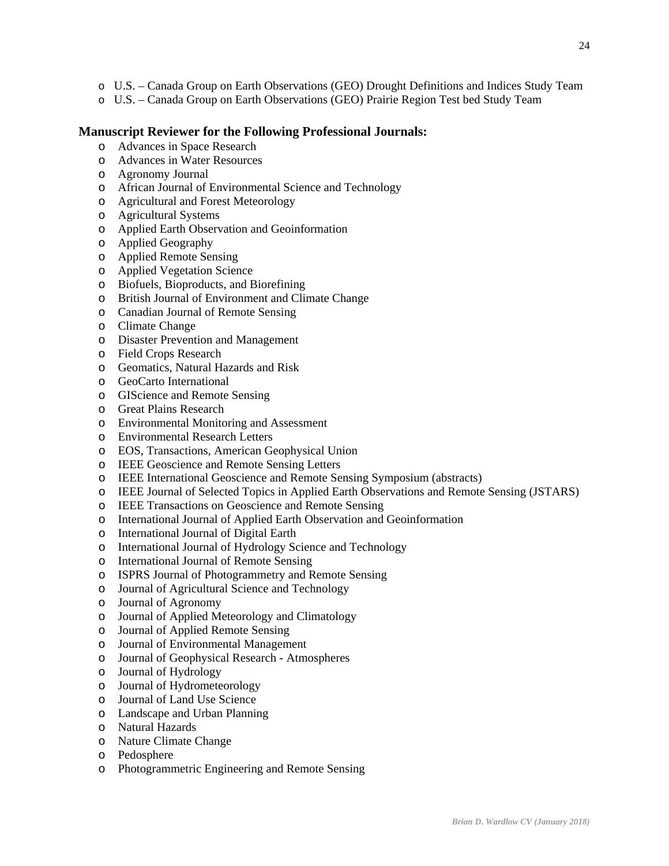- o U.S. Canada Group on Earth Observations (GEO) Drought Definitions and Indices Study Team
- o U.S. Canada Group on Earth Observations (GEO) Prairie Region Test bed Study Team

# **Manuscript Reviewer for the Following Professional Journals:**

- o Advances in Space Research
- o Advances in Water Resources
- o Agronomy Journal
- o African Journal of Environmental Science and Technology
- o Agricultural and Forest Meteorology
- o Agricultural Systems
- o Applied Earth Observation and Geoinformation
- o Applied Geography
- o Applied Remote Sensing
- o Applied Vegetation Science
- o Biofuels, Bioproducts, and Biorefining
- o British Journal of Environment and Climate Change
- o Canadian Journal of Remote Sensing
- o Climate Change
- o Disaster Prevention and Management
- o Field Crops Research
- o Geomatics, Natural Hazards and Risk
- o GeoCarto International
- o GIScience and Remote Sensing
- o Great Plains Research
- o Environmental Monitoring and Assessment
- o Environmental Research Letters
- o EOS, Transactions, American Geophysical Union
- o IEEE Geoscience and Remote Sensing Letters
- o IEEE International Geoscience and Remote Sensing Symposium (abstracts)
- o IEEE Journal of Selected Topics in Applied Earth Observations and Remote Sensing (JSTARS)
- o IEEE Transactions on Geoscience and Remote Sensing
- o International Journal of Applied Earth Observation and Geoinformation
- o International Journal of Digital Earth
- o International Journal of Hydrology Science and Technology
- o International Journal of Remote Sensing
- o ISPRS Journal of Photogrammetry and Remote Sensing
- o Journal of Agricultural Science and Technology
- o Journal of Agronomy
- o Journal of Applied Meteorology and Climatology
- o Journal of Applied Remote Sensing
- o Journal of Environmental Management
- o Journal of Geophysical Research Atmospheres
- o Journal of Hydrology
- o Journal of Hydrometeorology
- o Journal of Land Use Science
- o Landscape and Urban Planning
- o Natural Hazards
- o Nature Climate Change
- o Pedosphere
- o Photogrammetric Engineering and Remote Sensing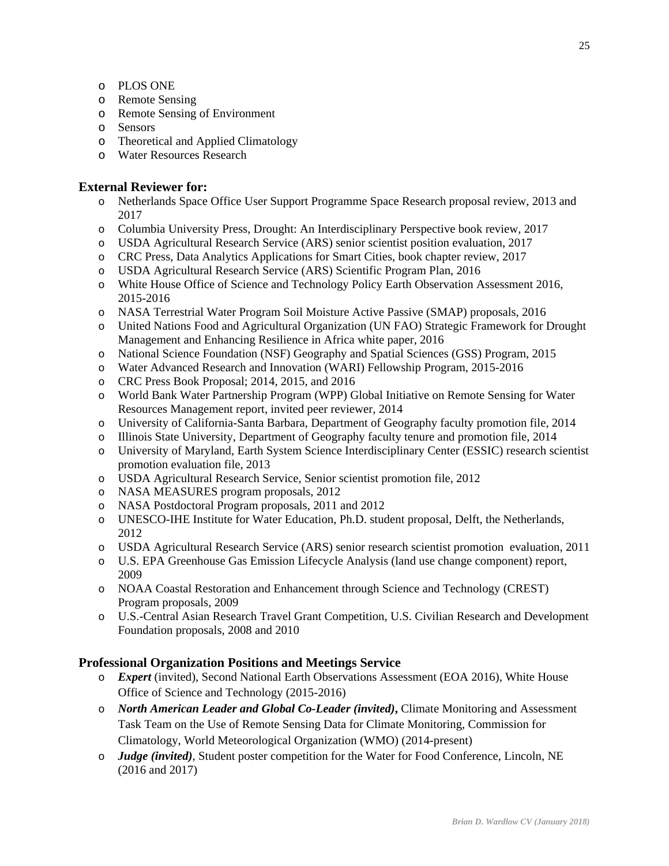- o PLOS ONE
- o Remote Sensing
- o Remote Sensing of Environment
- o Sensors
- o Theoretical and Applied Climatology
- o Water Resources Research

## **External Reviewer for:**

- o Netherlands Space Office User Support Programme Space Research proposal review, 2013 and 2017
- o Columbia University Press, Drought: An Interdisciplinary Perspective book review, 2017
- o USDA Agricultural Research Service (ARS) senior scientist position evaluation, 2017
- o CRC Press, Data Analytics Applications for Smart Cities, book chapter review, 2017
- o USDA Agricultural Research Service (ARS) Scientific Program Plan, 2016
- o White House Office of Science and Technology Policy Earth Observation Assessment 2016, 2015-2016
- o NASA Terrestrial Water Program Soil Moisture Active Passive (SMAP) proposals, 2016
- o United Nations Food and Agricultural Organization (UN FAO) Strategic Framework for Drought Management and Enhancing Resilience in Africa white paper, 2016
- o National Science Foundation (NSF) Geography and Spatial Sciences (GSS) Program, 2015
- o Water Advanced Research and Innovation (WARI) Fellowship Program, 2015-2016
- o CRC Press Book Proposal; 2014, 2015, and 2016
- o World Bank Water Partnership Program (WPP) Global Initiative on Remote Sensing for Water Resources Management report, invited peer reviewer, 2014
- o University of California-Santa Barbara, Department of Geography faculty promotion file, 2014
- o Illinois State University, Department of Geography faculty tenure and promotion file, 2014
- o University of Maryland, Earth System Science Interdisciplinary Center (ESSIC) research scientist promotion evaluation file, 2013
- o USDA Agricultural Research Service, Senior scientist promotion file, 2012
- o NASA MEASURES program proposals, 2012
- o NASA Postdoctoral Program proposals, 2011 and 2012
- o UNESCO-IHE Institute for Water Education, Ph.D. student proposal, Delft, the Netherlands, 2012
- o USDA Agricultural Research Service (ARS) senior research scientist promotion evaluation, 2011
- o U.S. EPA Greenhouse Gas Emission Lifecycle Analysis (land use change component) report, 2009
- o NOAA Coastal Restoration and Enhancement through Science and Technology (CREST) Program proposals, 2009
- o U.S.-Central Asian Research Travel Grant Competition, U.S. Civilian Research and Development Foundation proposals, 2008 and 2010

# **Professional Organization Positions and Meetings Service**

- o *Expert* (invited), Second National Earth Observations Assessment (EOA 2016), White House Office of Science and Technology (2015-2016)
- o *North American Leader and Global Co-Leader (invited)***,** Climate Monitoring and Assessment Task Team on the Use of Remote Sensing Data for Climate Monitoring, Commission for Climatology, World Meteorological Organization (WMO) (2014-present)
- o *Judge (invited)*, Student poster competition for the Water for Food Conference, Lincoln, NE (2016 and 2017)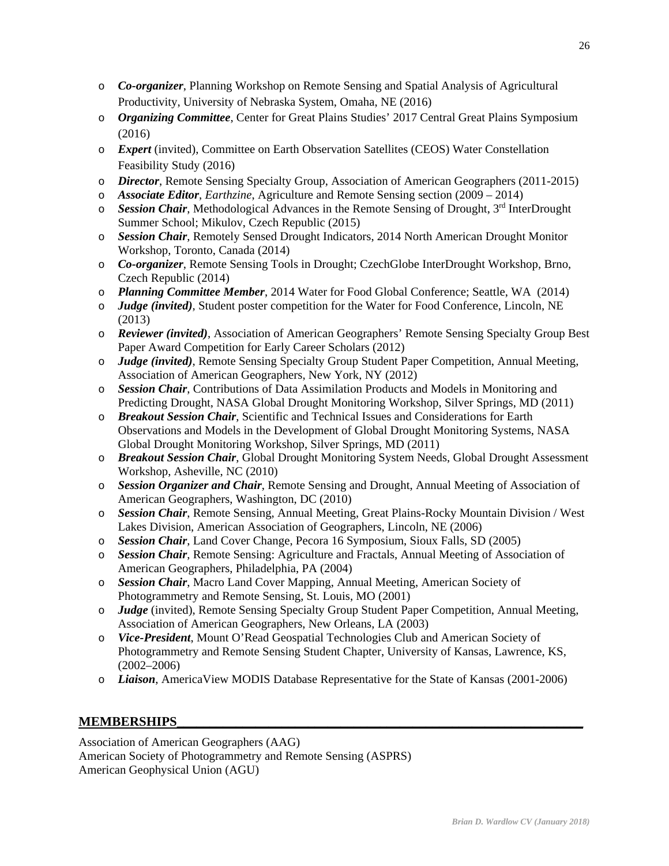- o *Co-organizer*, Planning Workshop on Remote Sensing and Spatial Analysis of Agricultural Productivity, University of Nebraska System, Omaha, NE (2016)
- o *Organizing Committee*, Center for Great Plains Studies' 2017 Central Great Plains Symposium (2016)
- o *Expert* (invited), Committee on Earth Observation Satellites (CEOS) Water Constellation Feasibility Study (2016)
- o *Director*, Remote Sensing Specialty Group, Association of American Geographers (2011-2015)
- o *Associate Editor*, *Earthzine*, Agriculture and Remote Sensing section (2009 2014)
- o *Session Chair*, Methodological Advances in the Remote Sensing of Drought, 3rd InterDrought Summer School; Mikulov, Czech Republic (2015)
- o *Session Chair*, Remotely Sensed Drought Indicators, 2014 North American Drought Monitor Workshop, Toronto, Canada (2014)
- o *Co-organizer*, Remote Sensing Tools in Drought; CzechGlobe InterDrought Workshop, Brno, Czech Republic (2014)
- o *Planning Committee Member*, 2014 Water for Food Global Conference; Seattle, WA (2014)
- o *Judge (invited)*, Student poster competition for the Water for Food Conference, Lincoln, NE (2013)
- o *Reviewer (invited)*, Association of American Geographers' Remote Sensing Specialty Group Best Paper Award Competition for Early Career Scholars (2012)
- o *Judge (invited)*, Remote Sensing Specialty Group Student Paper Competition, Annual Meeting, Association of American Geographers, New York, NY (2012)
- o *Session Chair*, Contributions of Data Assimilation Products and Models in Monitoring and Predicting Drought, NASA Global Drought Monitoring Workshop, Silver Springs, MD (2011)
- o *Breakout Session Chair*, Scientific and Technical Issues and Considerations for Earth Observations and Models in the Development of Global Drought Monitoring Systems, NASA Global Drought Monitoring Workshop, Silver Springs, MD (2011)
- o *Breakout Session Chair*, Global Drought Monitoring System Needs, Global Drought Assessment Workshop, Asheville, NC (2010)
- o *Session Organizer and Chair*, Remote Sensing and Drought, Annual Meeting of Association of American Geographers, Washington, DC (2010)
- o *Session Chair*, Remote Sensing, Annual Meeting, Great Plains-Rocky Mountain Division / West Lakes Division, American Association of Geographers, Lincoln, NE (2006)
- o *Session Chair*, Land Cover Change, Pecora 16 Symposium, Sioux Falls, SD (2005)
- o *Session Chair*, Remote Sensing: Agriculture and Fractals, Annual Meeting of Association of American Geographers, Philadelphia, PA (2004)
- o *Session Chair*, Macro Land Cover Mapping, Annual Meeting, American Society of Photogrammetry and Remote Sensing, St. Louis, MO (2001)
- o *Judge* (invited), Remote Sensing Specialty Group Student Paper Competition, Annual Meeting, Association of American Geographers, New Orleans, LA (2003)
- o *Vice-President*, Mount O'Read Geospatial Technologies Club and American Society of Photogrammetry and Remote Sensing Student Chapter, University of Kansas, Lawrence, KS, (2002–2006)
- o *Liaison*, AmericaView MODIS Database Representative for the State of Kansas (2001-2006)

# **MEMBERSHIPS**

Association of American Geographers (AAG) American Society of Photogrammetry and Remote Sensing (ASPRS) American Geophysical Union (AGU)